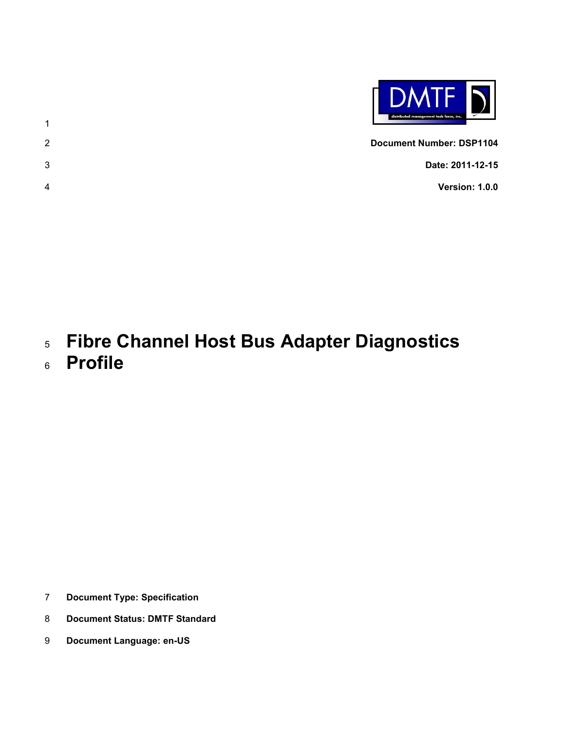

| <b>Document Number: DSP1104</b> | $\overline{2}$ |
|---------------------------------|----------------|
| Date: 2011-12-15                | 3              |
| <b>Version: 1.0.0</b>           | 4              |

# **Fibre Channel Host Bus Adapter Diagnostics Profile**

**Document Type: Specification**

- **Document Status: DMTF Standard**
- **Document Language: en-US**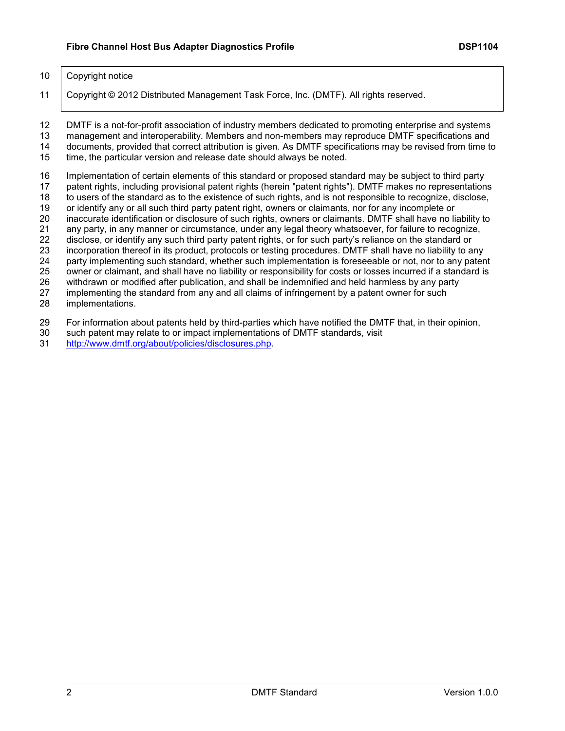#### 10 Copyright notice

Copyright © 2012 Distributed Management Task Force, Inc. (DMTF). All rights reserved.

 DMTF is a not-for-profit association of industry members dedicated to promoting enterprise and systems management and interoperability. Members and non-members may reproduce DMTF specifications and documents, provided that correct attribution is given. As DMTF specifications may be revised from time to

time, the particular version and release date should always be noted.

Implementation of certain elements of this standard or proposed standard may be subject to third party

patent rights, including provisional patent rights (herein "patent rights"). DMTF makes no representations

to users of the standard as to the existence of such rights, and is not responsible to recognize, disclose,

19 or identify any or all such third party patent right, owners or claimants, nor for any incomplete or<br>20 inaccurate identification or disclosure of such rights, owners or claimants. DMTF shall have no li inaccurate identification or disclosure of such rights, owners or claimants. DMTF shall have no liability to

21 any party, in any manner or circumstance, under any legal theory whatsoever, for failure to recognize, 22<br>22 disclose, or identify any such third party patent rights, or for such party's reliance on the standard or

22 disclose, or identify any such third party patent rights, or for such party's reliance on the standard or<br>23 incorporation thereof in its product, protocols or testing procedures. DMTF shall have no liability to a incorporation thereof in its product, protocols or testing procedures. DMTF shall have no liability to any

party implementing such standard, whether such implementation is foreseeable or not, nor to any patent

owner or claimant, and shall have no liability or responsibility for costs or losses incurred if a standard is

withdrawn or modified after publication, and shall be indemnified and held harmless by any party

implementing the standard from any and all claims of infringement by a patent owner for such

implementations.

For information about patents held by third-parties which have notified the DMTF that, in their opinion,

- such patent may relate to or impact implementations of DMTF standards, visit
- [http://www.dmtf.org/about/policies/disclosures.php.](http://www.dmtf.org/about/policies/disclosures.php)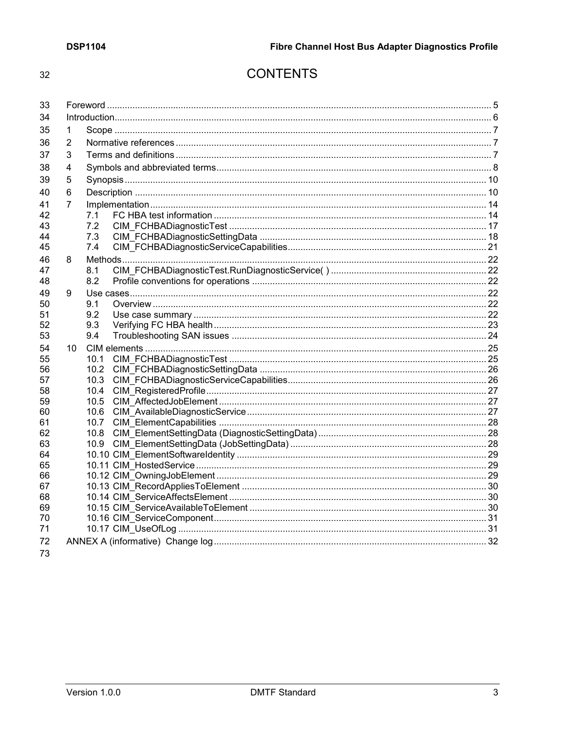32

## **CONTENTS**

| 1 |                                  |                                                                                    |  |  |
|---|----------------------------------|------------------------------------------------------------------------------------|--|--|
| 2 |                                  |                                                                                    |  |  |
| 3 |                                  |                                                                                    |  |  |
|   |                                  |                                                                                    |  |  |
|   |                                  |                                                                                    |  |  |
|   |                                  |                                                                                    |  |  |
|   |                                  |                                                                                    |  |  |
|   |                                  |                                                                                    |  |  |
|   |                                  |                                                                                    |  |  |
|   |                                  |                                                                                    |  |  |
|   |                                  |                                                                                    |  |  |
|   |                                  |                                                                                    |  |  |
|   |                                  |                                                                                    |  |  |
|   |                                  |                                                                                    |  |  |
|   |                                  |                                                                                    |  |  |
|   |                                  |                                                                                    |  |  |
|   |                                  |                                                                                    |  |  |
|   |                                  |                                                                                    |  |  |
|   |                                  |                                                                                    |  |  |
|   |                                  |                                                                                    |  |  |
|   |                                  |                                                                                    |  |  |
|   |                                  |                                                                                    |  |  |
|   | 10.3                             |                                                                                    |  |  |
|   | 10.4                             |                                                                                    |  |  |
|   | 10.5                             |                                                                                    |  |  |
|   | 10.6                             |                                                                                    |  |  |
|   | 10.7                             |                                                                                    |  |  |
|   | 10.8                             |                                                                                    |  |  |
|   |                                  |                                                                                    |  |  |
|   |                                  |                                                                                    |  |  |
|   |                                  |                                                                                    |  |  |
|   |                                  |                                                                                    |  |  |
|   |                                  |                                                                                    |  |  |
|   |                                  |                                                                                    |  |  |
|   |                                  |                                                                                    |  |  |
|   |                                  |                                                                                    |  |  |
|   |                                  |                                                                                    |  |  |
|   |                                  |                                                                                    |  |  |
|   | 4<br>5<br>6<br>7<br>8<br>9<br>10 | 7.1<br>7.2<br>7.3<br>7.4<br>8.1<br>8.2<br>9.1<br>9.2<br>9.3<br>9.4<br>10.1<br>10.2 |  |  |

73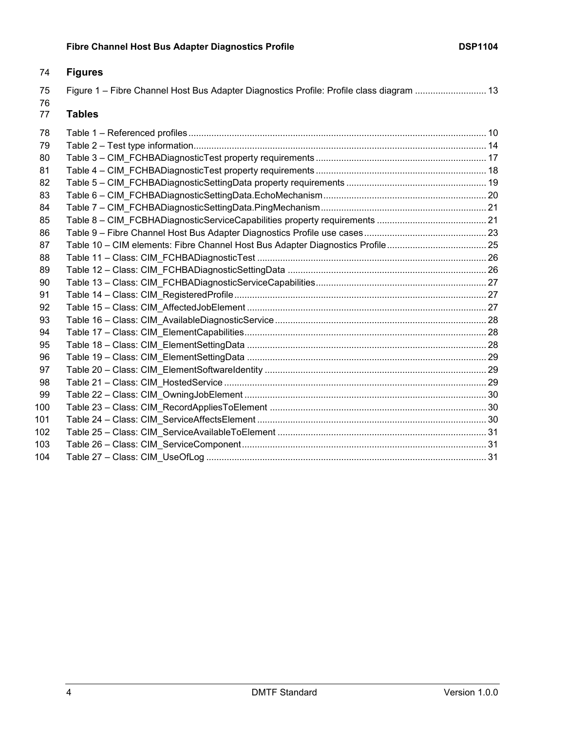## **Fibre Channel Host Bus Adapter Diagnostics Profile DSP1104**

| 74  | <b>Figures</b>                                                                           |  |
|-----|------------------------------------------------------------------------------------------|--|
| 75  | Figure 1 - Fibre Channel Host Bus Adapter Diagnostics Profile: Profile class diagram  13 |  |
| 76  |                                                                                          |  |
| 77  | <b>Tables</b>                                                                            |  |
| 78  |                                                                                          |  |
| 79  |                                                                                          |  |
| 80  |                                                                                          |  |
| 81  |                                                                                          |  |
| 82  |                                                                                          |  |
| 83  |                                                                                          |  |
| 84  |                                                                                          |  |
| 85  |                                                                                          |  |
| 86  |                                                                                          |  |
| 87  |                                                                                          |  |
| 88  |                                                                                          |  |
| 89  |                                                                                          |  |
| 90  |                                                                                          |  |
| 91  |                                                                                          |  |
| 92  |                                                                                          |  |
| 93  |                                                                                          |  |
| 94  |                                                                                          |  |
| 95  |                                                                                          |  |
| 96  |                                                                                          |  |
| 97  |                                                                                          |  |
| 98  |                                                                                          |  |
| 99  |                                                                                          |  |
| 100 |                                                                                          |  |
| 101 |                                                                                          |  |
| 102 |                                                                                          |  |
| 103 |                                                                                          |  |
| 104 |                                                                                          |  |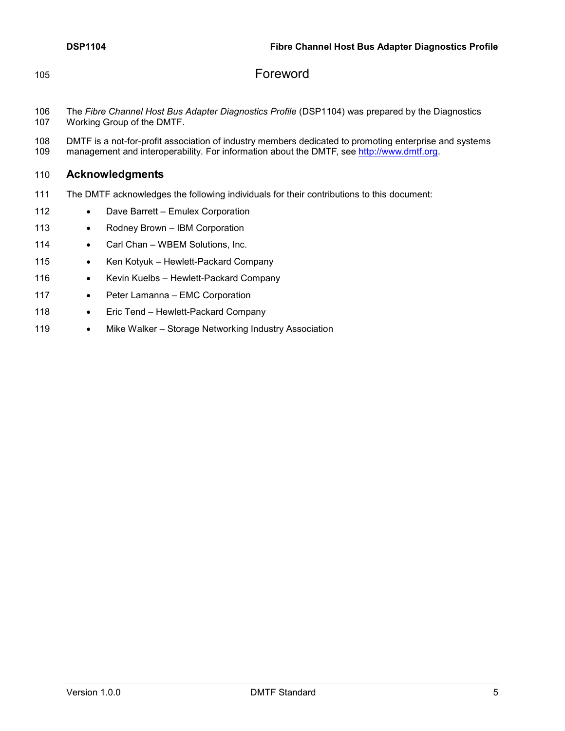<span id="page-4-0"></span>

## 105 Foreword

106 The *Fibre Channel Host Bus Adapter Diagnostics Profile* (DSP1104) was prepared by the Diagnostics Working Group of the DMTF.

108 DMTF is a not-for-profit association of industry members dedicated to promoting enterprise and systems 109 management and interoperability. For information about the DMTF, see http://www.dmtf.org. management and interoperability. For information about the DMTF, see [http://www.dmtf.org.](http://www.dmtf.org/)

#### 110 **Acknowledgments**

- 111 The DMTF acknowledges the following individuals for their contributions to this document:
- 112 Dave Barrett Emulex Corporation
- 113 Rodney Brown IBM Corporation
- 114 Carl Chan WBEM Solutions, Inc.
- 115 Ken Kotyuk Hewlett-Packard Company
- 116 Kevin Kuelbs Hewlett-Packard Company
- 117 Peter Lamanna EMC Corporation
- 118 Eric Tend Hewlett-Packard Company
- 119 Mike Walker Storage Networking Industry Association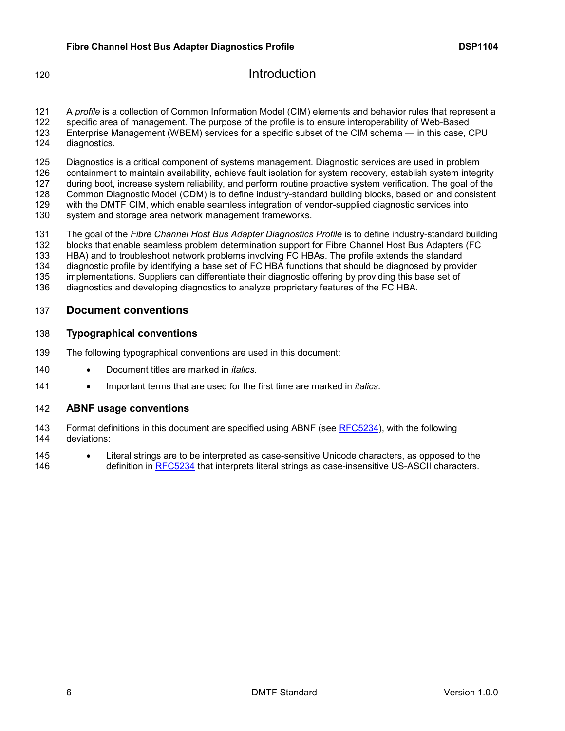## <span id="page-5-0"></span>**Introduction**

 A *profile* is a collection of Common Information Model (CIM) elements and behavior rules that represent a specific area of management. The purpose of the profile is to ensure interoperability of Web-Based Enterprise Management (WBEM) services for a specific subset of the CIM schema — in this case, CPU diagnostics.

 Diagnostics is a critical component of systems management. Diagnostic services are used in problem containment to maintain availability, achieve fault isolation for system recovery, establish system integrity 127 during boot, increase system reliability, and perform routine proactive system verification. The goal of the<br>128 Common Diagnostic Model (CDM) is to define industry-standard building blocks, based on and consistent Common Diagnostic Model (CDM) is to define industry-standard building blocks, based on and consistent with the DMTF CIM, which enable seamless integration of vendor-supplied diagnostic services into system and storage area network management frameworks.

 The goal of the *Fibre Channel Host Bus Adapter Diagnostics Profile* is to define industry-standard building blocks that enable seamless problem determination support for Fibre Channel Host Bus Adapters (FC HBA) and to troubleshoot network problems involving FC HBAs. The profile extends the standard diagnostic profile by identifying a base set of FC HBA functions that should be diagnosed by provider

implementations. Suppliers can differentiate their diagnostic offering by providing this base set of

diagnostics and developing diagnostics to analyze proprietary features of the FC HBA.

#### **Document conventions**

#### **Typographical conventions**

- The following typographical conventions are used in this document:
- Document titles are marked in *italics*.
- Important terms that are used for the first time are marked in *italics*.

#### **ABNF usage conventions**

- Format definitions in this document are specified using ABNF (see [RFC5234\)](#page-6-3), with the following deviations:
- Literal strings are to be interpreted as case-sensitive Unicode characters, as opposed to the 146 definition in [RFC5234](#page-6-3) that interprets literal strings as case-insensitive US-ASCII characters.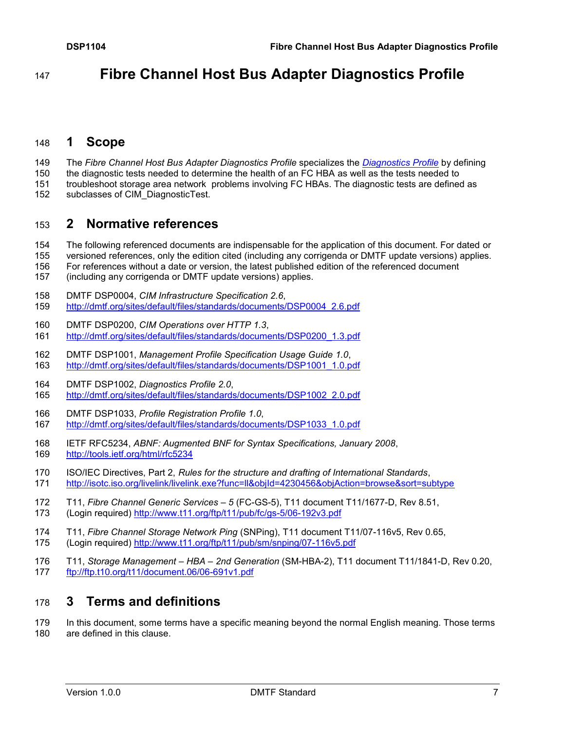## **Fibre Channel Host Bus Adapter Diagnostics Profile**

## <span id="page-6-0"></span>**1 Scope**

- The *Fibre Channel Host Bus Adapter Diagnostics Profile* specializes the *[Diagnostics Profile](#page-6-4)* by defining
- the diagnostic tests needed to determine the health of an FC HBA as well as the tests needed to
- troubleshoot storage area network problems involving FC HBAs. The diagnostic tests are defined as
- <span id="page-6-1"></span>152 subclasses of CIM DiagnosticTest.

## **2 Normative references**

- The following referenced documents are indispensable for the application of this document. For dated or
- versioned references, only the edition cited (including any corrigenda or DMTF update versions) applies.
- For references without a date or version, the latest published edition of the referenced document
- (including any corrigenda or DMTF update versions) applies.
- <span id="page-6-6"></span>DMTF DSP0004, *CIM Infrastructure Specification 2.6*,
- [http://dmtf.org/sites/default/files/standards/documents/DSP0004\\_2.6.pdf](http://dmtf.org/sites/default/files/standards/documents/DSP0004_2.6.pdf)
- <span id="page-6-7"></span>DMTF DSP0200, *CIM Operations over HTTP 1.3*,
- [http://dmtf.org/sites/default/files/standards/documents/DSP0200\\_1.3.pdf](http://dmtf.org/sites/default/files/standards/documents/DSP0200_1.3.pdf)
- <span id="page-6-8"></span>DMTF DSP1001, *Management Profile Specification Usage Guide 1.0*,
- [http://dmtf.org/sites/default/files/standards/documents/DSP1001\\_1.0.pdf](http://dmtf.org/sites/default/files/standards/documents/DSP1001_1.0.pdf)
- <span id="page-6-4"></span>DMTF DSP1002, *Diagnostics Profile 2.0*,
- [http://dmtf.org/sites/default/files/standards/documents/DSP1002\\_2.0.pdf](http://dmtf.org/sites/default/files/standards/documents/DSP1002_2.0.pdf)
- <span id="page-6-10"></span>DMTF DSP1033, *Profile Registration Profile 1.0*,
- [http://dmtf.org/sites/default/files/standards/documents/DSP1033\\_1.0.pdf](http://dmtf.org/sites/default/files/standards/documents/DSP1033_1.0.pdf)
- <span id="page-6-3"></span> IETF RFC5234, *ABNF: Augmented BNF for Syntax Specifications, January 2008*, <http://tools.ietf.org/html/rfc5234>
- <span id="page-6-5"></span> ISO/IEC Directives, Part 2, *Rules for the structure and drafting of International Standards*, <http://isotc.iso.org/livelink/livelink.exe?func=ll&objId=4230456&objAction=browse&sort=subtype>
- T11, *Fibre Channel Generic Services – 5* (FC-GS-5), T11 document T11/1677-D, Rev 8.51, (Login required)<http://www.t11.org/ftp/t11/pub/fc/gs-5/06-192v3.pdf>
- <span id="page-6-9"></span> T11, *Fibre Channel Storage Network Ping* (SNPing), T11 document T11/07-116v5, Rev 0.65, (Login required)<http://www.t11.org/ftp/t11/pub/sm/snping/07-116v5.pdf>
- 
- T11, *Storage Management – HBA – 2nd Generation* (SM-HBA-2), T11 document T11/1841-D, Rev 0.20, <ftp://ftp.t10.org/t11/document.06/06-691v1.pdf>

## <span id="page-6-2"></span>**3 Terms and definitions**

 In this document, some terms have a specific meaning beyond the normal English meaning. Those terms are defined in this clause.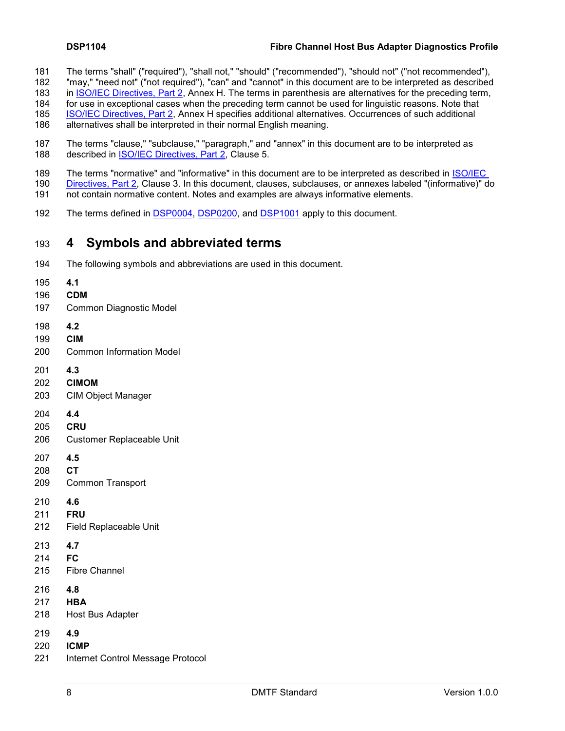- The terms "shall" ("required"), "shall not," "should" ("recommended"), "should not" ("not recommended"),
- "may," "need not" ("not required"), "can" and "cannot" in this document are to be interpreted as described 183 in [ISO/IEC Directives, Part 2,](#page-6-5) Annex H. The terms in parenthesis are alternatives for the preceding term,
- for use in exceptional cases when the preceding term cannot be used for linguistic reasons. Note that
- [ISO/IEC Directives, Part 2,](#page-6-5) Annex H specifies additional alternatives. Occurrences of such additional
- alternatives shall be interpreted in their normal English meaning.
- The terms "clause," "subclause," "paragraph," and "annex" in this document are to be interpreted as 188 described in [ISO/IEC Directives, Part 2,](#page-6-5) Clause 5.
- The terms "normative" and "informative" in this document are to be interpreted as described in [ISO/IEC](#page-6-5)
- [Directives, Part 2,](#page-6-5) Clause 3. In this document, clauses, subclauses, or annexes labeled "(informative)" do
- not contain normative content. Notes and examples are always informative elements.
- <span id="page-7-0"></span>192 The terms defined in [DSP0004,](#page-6-6) [DSP0200,](#page-6-7) and [DSP1001](#page-6-8) apply to this document.

## **4 Symbols and abbreviated terms**

- The following symbols and abbreviations are used in this document.
- **4.1**
- **CDM**
- Common Diagnostic Model
- **4.2**
- **CIM**
- Common Information Model
- **4.3**
- **CIMOM**
- CIM Object Manager
- **4.4**
- **CRU**
- Customer Replaceable Unit
- **4.5**
- **CT**
- Common Transport
- **4.6**
- **FRU**
- Field Replaceable Unit
- **4.7**
- **FC**
- Fibre Channel
- **4.8**
- **HBA**
- Host Bus Adapter
- **4.9**
- **ICMP**
- Internet Control Message Protocol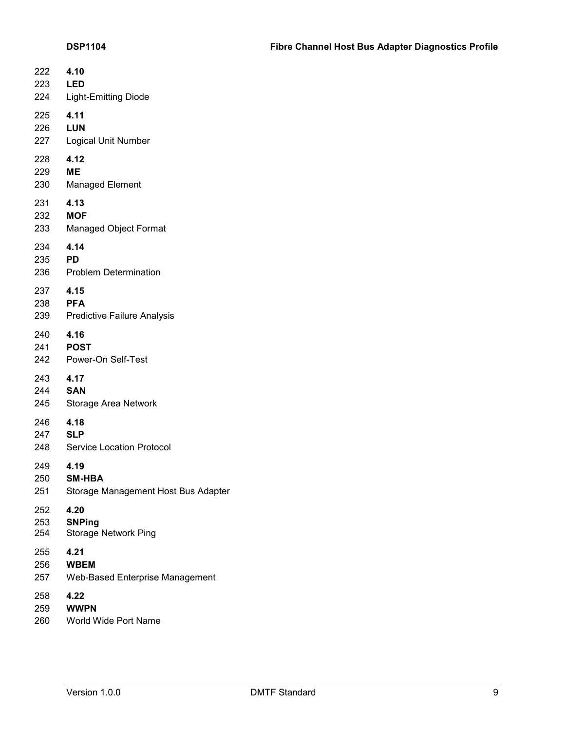| 222                          | -- 4.10                                     |
|------------------------------|---------------------------------------------|
| 223                          | <b>LED</b>                                  |
| 224 —                        | <b>Light-Emitting Diode</b>                 |
| 225<br>226<br>227            | - 4.11<br>LUN<br><b>Logical Unit Number</b> |
| 228                          | 4.12                                        |
| 229                          | MЕ                                          |
| 230                          | <b>Managed Element</b>                      |
| 231                          | - 4.13                                      |
| 232                          | <b>MOF</b>                                  |
| 233                          | <b>Managed Object Format</b>                |
| 234 4.14<br>235 PD           | 236 Problem Determination                   |
| 237 4.15<br>238 PFA          | 239 Predictive Failure Analysis             |
| 240 4.16                     | 241 <b>POST</b>                             |
| 242                          | Power-On Self-Test                          |
| 243<br>244 <b>SAN</b><br>245 | 4.17<br>Storage Area Network                |
| 246<br>247 <b>SLP</b><br>248 | - 4.18<br><b>Service Location Protocol</b>  |
| 249                          | 4.19                                        |
| 250                          | <b>SM-HBA</b>                               |
| 251                          | Storage Management Host Bus Adapter         |
| 252                          | 4.20                                        |
| 253                          | <b>SNPing</b>                               |
| 254                          | <b>Storage Network Ping</b>                 |
| 255                          | 4.21                                        |
| 256                          | <b>WBEM</b>                                 |
| 257                          | Web-Based Enterprise Management             |
| 258                          | 4.22                                        |
| 259                          | <b>WWPN</b>                                 |
| 260                          | World Wide Port Name                        |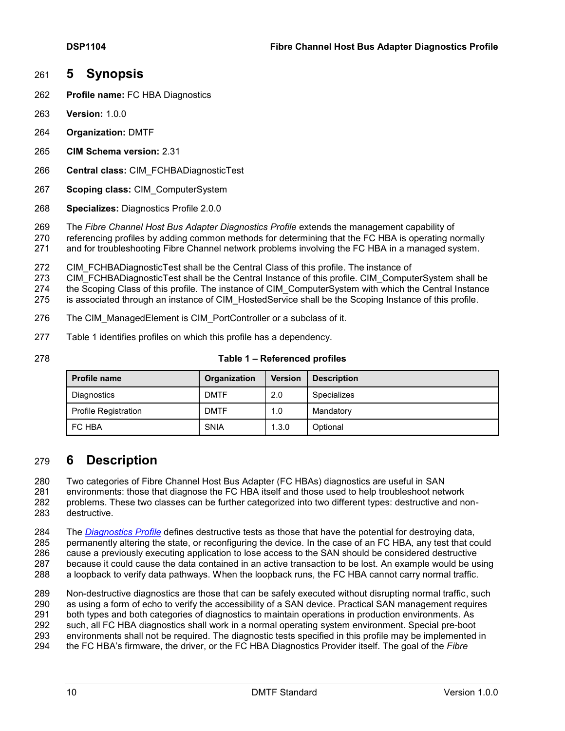## **5 Synopsis**

- <span id="page-9-0"></span>**Profile name:** FC HBA Diagnostics
- **Version:** 1.0.0
- **Organization:** DMTF
- **CIM Schema version:** 2.31
- **Central class:** CIM\_FCHBADiagnosticTest
- **Scoping class:** CIM\_ComputerSystem
- **Specializes:** Diagnostics Profile 2.0.0
- The *Fibre Channel Host Bus Adapter Diagnostics Profile* extends the management capability of

 referencing profiles by adding common methods for determining that the FC HBA is operating normally and for troubleshooting Fibre Channel network problems involving the FC HBA in a managed system.

272 CIM FCHBADiagnosticTest shall be the Central Class of this profile. The instance of

CIM\_FCHBADiagnosticTest shall be the Central Instance of this profile. CIM\_ComputerSystem shall be

the Scoping Class of this profile. The instance of CIM\_ComputerSystem with which the Central Instance

is associated through an instance of CIM\_HostedService shall be the Scoping Instance of this profile.

276 The CIM ManagedElement is CIM PortController or a subclass of it.

- [Table 1](#page-9-2) identifies profiles on which this profile has a dependency.
- 

| Table 1 – Referenced profiles |
|-------------------------------|
|                               |

<span id="page-9-2"></span>

| <b>Profile name</b>         | <b>Organization</b> | <b>Version</b> | <b>Description</b> |
|-----------------------------|---------------------|----------------|--------------------|
| <b>Diagnostics</b>          | <b>DMTF</b>         | 2.0            | Specializes        |
| <b>Profile Registration</b> | <b>DMTF</b>         | 1.0            | Mandatory          |
| FC HBA                      | <b>SNIA</b>         | 1.3.0          | Optional           |

## <span id="page-9-1"></span>**6 Description**

Two categories of Fibre Channel Host Bus Adapter (FC HBAs) diagnostics are useful in SAN

environments: those that diagnose the FC HBA itself and those used to help troubleshoot network

 problems. These two classes can be further categorized into two different types: destructive and non-destructive.

The *[Diagnostics Profile](#page-6-4)* defines destructive tests as those that have the potential for destroying data,

permanently altering the state, or reconfiguring the device. In the case of an FC HBA, any test that could

cause a previously executing application to lose access to the SAN should be considered destructive

 because it could cause the data contained in an active transaction to be lost. An example would be using a loopback to verify data pathways. When the loopback runs, the FC HBA cannot carry normal traffic.

 Non-destructive diagnostics are those that can be safely executed without disrupting normal traffic, such as using a form of echo to verify the accessibility of a SAN device. Practical SAN management requires both types and both categories of diagnostics to maintain operations in production environments. As

 such, all FC HBA diagnostics shall work in a normal operating system environment. Special pre-boot environments shall not be required. The diagnostic tests specified in this profile may be implemented in

the FC HBA's firmware, the driver, or the FC HBA Diagnostics Provider itself. The goal of the *Fibre*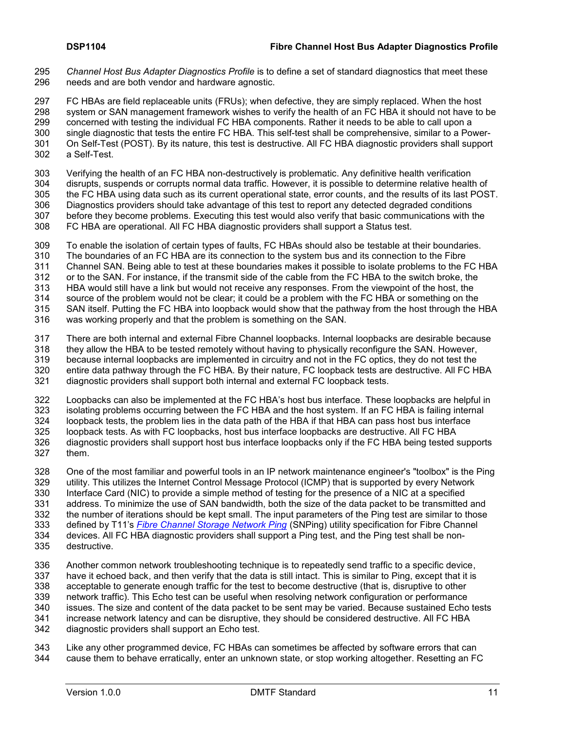*Channel Host Bus Adapter Diagnostics Profile* is to define a set of standard diagnostics that meet these needs and are both vendor and hardware agnostic.

 FC HBAs are field replaceable units (FRUs); when defective, they are simply replaced. When the host system or SAN management framework wishes to verify the health of an FC HBA it should not have to be concerned with testing the individual FC HBA components. Rather it needs to be able to call upon a single diagnostic that tests the entire FC HBA. This self-test shall be comprehensive, similar to a Power- On Self-Test (POST). By its nature, this test is destructive. All FC HBA diagnostic providers shall support a Self-Test.

303 Verifying the health of an FC HBA non-destructively is problematic. Any definitive health verification<br>304 disrupts, suspends or corrupts normal data traffic. However, it is possible to determine relative health disrupts, suspends or corrupts normal data traffic. However, it is possible to determine relative health of the FC HBA using data such as its current operational state, error counts, and the results of its last POST.

Diagnostics providers should take advantage of this test to report any detected degraded conditions

- before they become problems. Executing this test would also verify that basic communications with the FC HBA are operational. All FC HBA diagnostic providers shall support a Status test.
- 
- To enable the isolation of certain types of faults, FC HBAs should also be testable at their boundaries.
- The boundaries of an FC HBA are its connection to the system bus and its connection to the Fibre
- Channel SAN. Being able to test at these boundaries makes it possible to isolate problems to the FC HBA or to the SAN. For instance, if the transmit side of the cable from the FC HBA to the switch broke, the
- HBA would still have a link but would not receive any responses. From the viewpoint of the host, the
- source of the problem would not be clear; it could be a problem with the FC HBA or something on the
- SAN itself. Putting the FC HBA into loopback would show that the pathway from the host through the HBA
- was working properly and that the problem is something on the SAN.

There are both internal and external Fibre Channel loopbacks. Internal loopbacks are desirable because

- they allow the HBA to be tested remotely without having to physically reconfigure the SAN. However,
- because internal loopbacks are implemented in circuitry and not in the FC optics, they do not test the
- 320 entire data pathway through the FC HBA. By their nature, FC loopback tests are destructive. All FC HBA<br>321 diagnostic providers shall support both internal and external FC loopback tests.
- diagnostic providers shall support both internal and external FC loopback tests.
- Loopbacks can also be implemented at the FC HBA's host bus interface. These loopbacks are helpful in
- isolating problems occurring between the FC HBA and the host system. If an FC HBA is failing internal
- loopback tests, the problem lies in the data path of the HBA if that HBA can pass host bus interface loopback tests. As with FC loopbacks, host bus interface loopbacks are destructive. All FC HBA
- diagnostic providers shall support host bus interface loopbacks only if the FC HBA being tested supports
- them.
- One of the most familiar and powerful tools in an IP network maintenance engineer's "toolbox" is the Ping
- 
- 329 utility. This utilizes the Internet Control Message Protocol (ICMP) that is supported by every Network<br>330 Interface Card (NIC) to provide a simple method of testing for the presence of a NIC at a specified Interface Card (NIC) to provide a simple method of testing for the presence of a NIC at a specified
- address. To minimize the use of SAN bandwidth, both the size of the data packet to be transmitted and
- the number of iterations should be kept small. The input parameters of the Ping test are similar to those
- defined by T11's *[Fibre Channel Storage Network Ping](#page-6-9)* (SNPing) utility specification for Fibre Channel
- devices. All FC HBA diagnostic providers shall support a Ping test, and the Ping test shall be non-
- destructive.
- Another common network troubleshooting technique is to repeatedly send traffic to a specific device, have it echoed back, and then verify that the data is still intact. This is similar to Ping, except that it is acceptable to generate enough traffic for the test to become destructive (that is, disruptive to other network traffic). This Echo test can be useful when resolving network configuration or performance issues. The size and content of the data packet to be sent may be varied. Because sustained Echo tests increase network latency and can be disruptive, they should be considered destructive. All FC HBA diagnostic providers shall support an Echo test.
- Like any other programmed device, FC HBAs can sometimes be affected by software errors that can cause them to behave erratically, enter an unknown state, or stop working altogether. Resetting an FC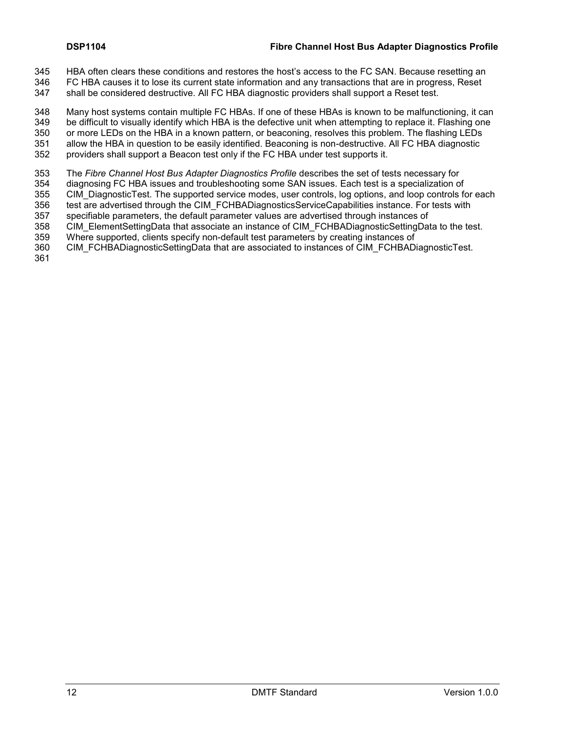- HBA often clears these conditions and restores the host's access to the FC SAN. Because resetting an
- FC HBA causes it to lose its current state information and any transactions that are in progress, Reset
- shall be considered destructive. All FC HBA diagnostic providers shall support a Reset test.

Many host systems contain multiple FC HBAs. If one of these HBAs is known to be malfunctioning, it can

be difficult to visually identify which HBA is the defective unit when attempting to replace it. Flashing one

or more LEDs on the HBA in a known pattern, or beaconing, resolves this problem. The flashing LEDs

 allow the HBA in question to be easily identified. Beaconing is non-destructive. All FC HBA diagnostic providers shall support a Beacon test only if the FC HBA under test supports it.

The *Fibre Channel Host Bus Adapter Diagnostics Profile* describes the set of tests necessary for

- diagnosing FC HBA issues and troubleshooting some SAN issues. Each test is a specialization of
- CIM\_DiagnosticTest. The supported service modes, user controls, log options, and loop controls for each
- 356 test are advertised through the CIM\_FCHBADiagnosticsServiceCapabilities instance. For tests with
- specifiable parameters, the default parameter values are advertised through instances of
- CIM\_ElementSettingData that associate an instance of CIM\_FCHBADiagnosticSettingData to the test.
- Where supported, clients specify non-default test parameters by creating instances of
- CIM\_FCHBADiagnosticSettingData that are associated to instances of CIM\_FCHBADiagnosticTest.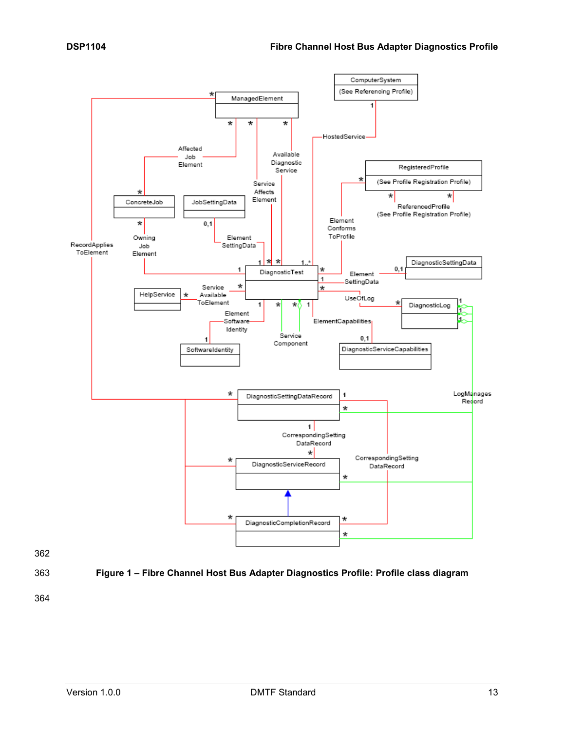



<span id="page-12-0"></span>362

363 **Figure 1 – Fibre Channel Host Bus Adapter Diagnostics Profile: Profile class diagram**

364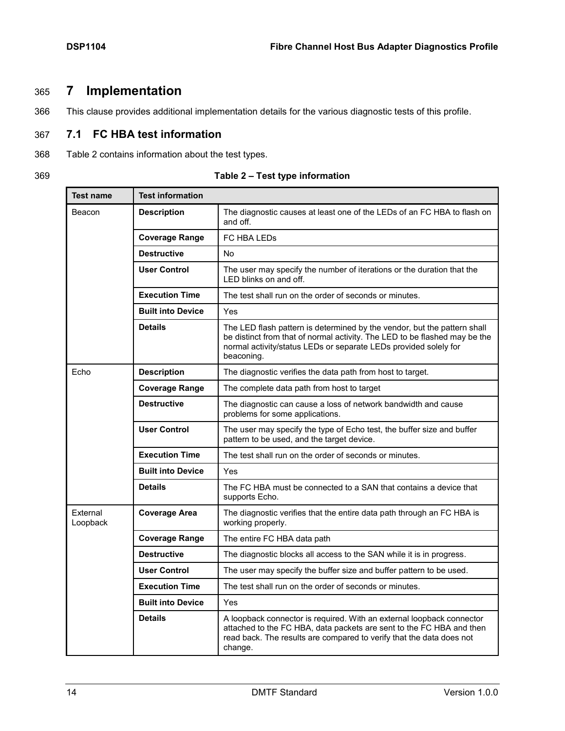## <span id="page-13-0"></span>365 **7 Implementation**

<span id="page-13-1"></span>366 This clause provides additional implementation details for the various diagnostic tests of this profile.

## 367 **7.1 FC HBA test information**

368 [Table 2](#page-13-2) contains information about the test types.

#### 369 **Table 2 – Test type information**

<span id="page-13-2"></span>

| <b>Test name</b>     | <b>Test information</b>  |                                                                                                                                                                                                                                          |  |
|----------------------|--------------------------|------------------------------------------------------------------------------------------------------------------------------------------------------------------------------------------------------------------------------------------|--|
| Beacon               | <b>Description</b>       | The diagnostic causes at least one of the LEDs of an FC HBA to flash on<br>and off.                                                                                                                                                      |  |
|                      | <b>Coverage Range</b>    | FC HBA LEDS                                                                                                                                                                                                                              |  |
|                      | <b>Destructive</b>       | <b>No</b>                                                                                                                                                                                                                                |  |
|                      | <b>User Control</b>      | The user may specify the number of iterations or the duration that the<br>LED blinks on and off.                                                                                                                                         |  |
|                      | <b>Execution Time</b>    | The test shall run on the order of seconds or minutes.                                                                                                                                                                                   |  |
|                      | <b>Built into Device</b> | Yes                                                                                                                                                                                                                                      |  |
|                      | <b>Details</b>           | The LED flash pattern is determined by the vendor, but the pattern shall<br>be distinct from that of normal activity. The LED to be flashed may be the<br>normal activity/status LEDs or separate LEDs provided solely for<br>beaconing. |  |
| Echo                 | <b>Description</b>       | The diagnostic verifies the data path from host to target.                                                                                                                                                                               |  |
|                      | <b>Coverage Range</b>    | The complete data path from host to target                                                                                                                                                                                               |  |
|                      | <b>Destructive</b>       | The diagnostic can cause a loss of network bandwidth and cause<br>problems for some applications.                                                                                                                                        |  |
|                      | <b>User Control</b>      | The user may specify the type of Echo test, the buffer size and buffer<br>pattern to be used, and the target device.                                                                                                                     |  |
|                      | <b>Execution Time</b>    | The test shall run on the order of seconds or minutes.                                                                                                                                                                                   |  |
|                      | <b>Built into Device</b> | Yes                                                                                                                                                                                                                                      |  |
|                      | <b>Details</b>           | The FC HBA must be connected to a SAN that contains a device that<br>supports Echo.                                                                                                                                                      |  |
| External<br>Loopback | <b>Coverage Area</b>     | The diagnostic verifies that the entire data path through an FC HBA is<br>working properly.                                                                                                                                              |  |
|                      | <b>Coverage Range</b>    | The entire FC HBA data path                                                                                                                                                                                                              |  |
|                      | <b>Destructive</b>       | The diagnostic blocks all access to the SAN while it is in progress.                                                                                                                                                                     |  |
|                      | <b>User Control</b>      | The user may specify the buffer size and buffer pattern to be used.                                                                                                                                                                      |  |
|                      | <b>Execution Time</b>    | The test shall run on the order of seconds or minutes.                                                                                                                                                                                   |  |
|                      | <b>Built into Device</b> | Yes                                                                                                                                                                                                                                      |  |
|                      | <b>Details</b>           | A loopback connector is required. With an external loopback connector<br>attached to the FC HBA, data packets are sent to the FC HBA and then<br>read back. The results are compared to verify that the data does not<br>change.         |  |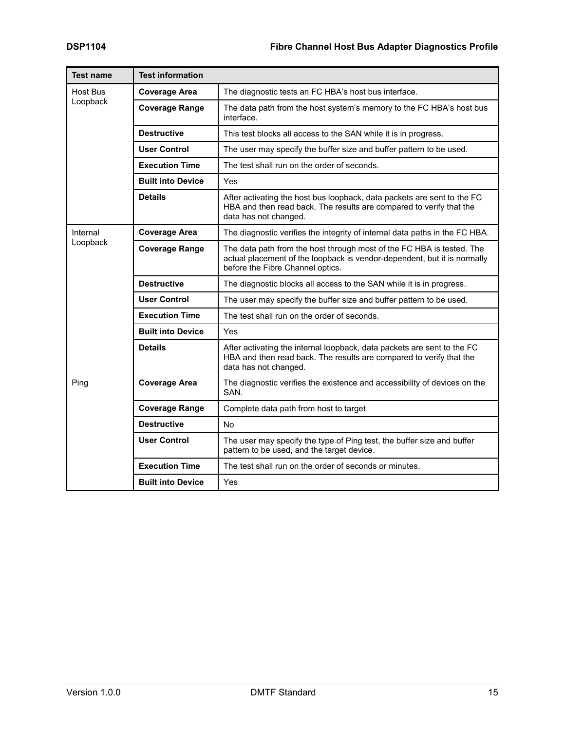| <b>Test name</b> | <b>Test information</b>  |                                                                                                                                                                                       |  |  |  |
|------------------|--------------------------|---------------------------------------------------------------------------------------------------------------------------------------------------------------------------------------|--|--|--|
| <b>Host Bus</b>  | <b>Coverage Area</b>     | The diagnostic tests an FC HBA's host bus interface.                                                                                                                                  |  |  |  |
| Loopback         | <b>Coverage Range</b>    | The data path from the host system's memory to the FC HBA's host bus<br>interface.                                                                                                    |  |  |  |
|                  | <b>Destructive</b>       | This test blocks all access to the SAN while it is in progress.                                                                                                                       |  |  |  |
|                  | <b>User Control</b>      | The user may specify the buffer size and buffer pattern to be used.                                                                                                                   |  |  |  |
|                  | <b>Execution Time</b>    | The test shall run on the order of seconds.                                                                                                                                           |  |  |  |
|                  | <b>Built into Device</b> | Yes                                                                                                                                                                                   |  |  |  |
|                  | <b>Details</b>           | After activating the host bus loopback, data packets are sent to the FC<br>HBA and then read back. The results are compared to verify that the<br>data has not changed.               |  |  |  |
| Internal         | <b>Coverage Area</b>     | The diagnostic verifies the integrity of internal data paths in the FC HBA.                                                                                                           |  |  |  |
| Loopback         | <b>Coverage Range</b>    | The data path from the host through most of the FC HBA is tested. The<br>actual placement of the loopback is vendor-dependent, but it is normally<br>before the Fibre Channel optics. |  |  |  |
|                  | <b>Destructive</b>       | The diagnostic blocks all access to the SAN while it is in progress.                                                                                                                  |  |  |  |
|                  | <b>User Control</b>      | The user may specify the buffer size and buffer pattern to be used.                                                                                                                   |  |  |  |
|                  | <b>Execution Time</b>    | The test shall run on the order of seconds.                                                                                                                                           |  |  |  |
|                  | <b>Built into Device</b> | Yes                                                                                                                                                                                   |  |  |  |
|                  | <b>Details</b>           | After activating the internal loopback, data packets are sent to the FC<br>HBA and then read back. The results are compared to verify that the<br>data has not changed.               |  |  |  |
| Ping             | <b>Coverage Area</b>     | The diagnostic verifies the existence and accessibility of devices on the<br>SAN.                                                                                                     |  |  |  |
|                  | <b>Coverage Range</b>    | Complete data path from host to target                                                                                                                                                |  |  |  |
|                  | <b>Destructive</b>       | No                                                                                                                                                                                    |  |  |  |
|                  | <b>User Control</b>      | The user may specify the type of Ping test, the buffer size and buffer<br>pattern to be used, and the target device.                                                                  |  |  |  |
|                  | <b>Execution Time</b>    | The test shall run on the order of seconds or minutes.                                                                                                                                |  |  |  |
|                  | <b>Built into Device</b> | Yes                                                                                                                                                                                   |  |  |  |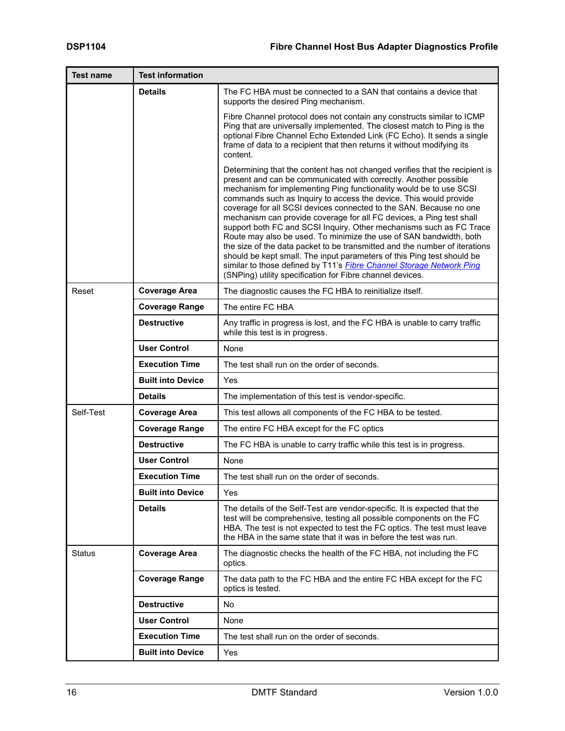| <b>Test name</b> | <b>Test information</b>  |                                                                                                                                                                                                                                                                                                                                                                                                                                                                                                                                                                                                                                                                                                                                                                                                                                                                                    |  |  |
|------------------|--------------------------|------------------------------------------------------------------------------------------------------------------------------------------------------------------------------------------------------------------------------------------------------------------------------------------------------------------------------------------------------------------------------------------------------------------------------------------------------------------------------------------------------------------------------------------------------------------------------------------------------------------------------------------------------------------------------------------------------------------------------------------------------------------------------------------------------------------------------------------------------------------------------------|--|--|
|                  | <b>Details</b>           | The FC HBA must be connected to a SAN that contains a device that<br>supports the desired Ping mechanism.                                                                                                                                                                                                                                                                                                                                                                                                                                                                                                                                                                                                                                                                                                                                                                          |  |  |
|                  |                          | Fibre Channel protocol does not contain any constructs similar to ICMP<br>Ping that are universally implemented. The closest match to Ping is the<br>optional Fibre Channel Echo Extended Link (FC Echo). It sends a single<br>frame of data to a recipient that then returns it without modifying its<br>content.                                                                                                                                                                                                                                                                                                                                                                                                                                                                                                                                                                 |  |  |
|                  |                          | Determining that the content has not changed verifies that the recipient is<br>present and can be communicated with correctly. Another possible<br>mechanism for implementing Ping functionality would be to use SCSI<br>commands such as Inquiry to access the device. This would provide<br>coverage for all SCSI devices connected to the SAN. Because no one<br>mechanism can provide coverage for all FC devices, a Ping test shall<br>support both FC and SCSI Inquiry. Other mechanisms such as FC Trace<br>Route may also be used. To minimize the use of SAN bandwidth, both<br>the size of the data packet to be transmitted and the number of iterations<br>should be kept small. The input parameters of this Ping test should be<br>similar to those defined by T11's Fibre Channel Storage Network Ping<br>(SNPing) utility specification for Fibre channel devices. |  |  |
| Reset            | <b>Coverage Area</b>     | The diagnostic causes the FC HBA to reinitialize itself.                                                                                                                                                                                                                                                                                                                                                                                                                                                                                                                                                                                                                                                                                                                                                                                                                           |  |  |
|                  | <b>Coverage Range</b>    | The entire FC HBA                                                                                                                                                                                                                                                                                                                                                                                                                                                                                                                                                                                                                                                                                                                                                                                                                                                                  |  |  |
|                  | <b>Destructive</b>       | Any traffic in progress is lost, and the FC HBA is unable to carry traffic<br>while this test is in progress.                                                                                                                                                                                                                                                                                                                                                                                                                                                                                                                                                                                                                                                                                                                                                                      |  |  |
|                  | <b>User Control</b>      | None                                                                                                                                                                                                                                                                                                                                                                                                                                                                                                                                                                                                                                                                                                                                                                                                                                                                               |  |  |
|                  | <b>Execution Time</b>    | The test shall run on the order of seconds.                                                                                                                                                                                                                                                                                                                                                                                                                                                                                                                                                                                                                                                                                                                                                                                                                                        |  |  |
|                  | <b>Built into Device</b> | Yes                                                                                                                                                                                                                                                                                                                                                                                                                                                                                                                                                                                                                                                                                                                                                                                                                                                                                |  |  |
|                  | <b>Details</b>           | The implementation of this test is vendor-specific.                                                                                                                                                                                                                                                                                                                                                                                                                                                                                                                                                                                                                                                                                                                                                                                                                                |  |  |
| Self-Test        | <b>Coverage Area</b>     | This test allows all components of the FC HBA to be tested.                                                                                                                                                                                                                                                                                                                                                                                                                                                                                                                                                                                                                                                                                                                                                                                                                        |  |  |
|                  | <b>Coverage Range</b>    | The entire FC HBA except for the FC optics                                                                                                                                                                                                                                                                                                                                                                                                                                                                                                                                                                                                                                                                                                                                                                                                                                         |  |  |
|                  | <b>Destructive</b>       | The FC HBA is unable to carry traffic while this test is in progress.                                                                                                                                                                                                                                                                                                                                                                                                                                                                                                                                                                                                                                                                                                                                                                                                              |  |  |
|                  | <b>User Control</b>      | None                                                                                                                                                                                                                                                                                                                                                                                                                                                                                                                                                                                                                                                                                                                                                                                                                                                                               |  |  |
|                  | <b>Execution Time</b>    | The test shall run on the order of seconds.                                                                                                                                                                                                                                                                                                                                                                                                                                                                                                                                                                                                                                                                                                                                                                                                                                        |  |  |
|                  | <b>Built into Device</b> | Yes                                                                                                                                                                                                                                                                                                                                                                                                                                                                                                                                                                                                                                                                                                                                                                                                                                                                                |  |  |
|                  | <b>Details</b>           | The details of the Self-Test are vendor-specific. It is expected that the<br>test will be comprehensive, testing all possible components on the FC<br>HBA. The test is not expected to test the FC optics. The test must leave<br>the HBA in the same state that it was in before the test was run.                                                                                                                                                                                                                                                                                                                                                                                                                                                                                                                                                                                |  |  |
| <b>Status</b>    | <b>Coverage Area</b>     | The diagnostic checks the health of the FC HBA, not including the FC<br>optics.                                                                                                                                                                                                                                                                                                                                                                                                                                                                                                                                                                                                                                                                                                                                                                                                    |  |  |
|                  | <b>Coverage Range</b>    | The data path to the FC HBA and the entire FC HBA except for the FC<br>optics is tested.                                                                                                                                                                                                                                                                                                                                                                                                                                                                                                                                                                                                                                                                                                                                                                                           |  |  |
|                  | <b>Destructive</b>       | <b>No</b>                                                                                                                                                                                                                                                                                                                                                                                                                                                                                                                                                                                                                                                                                                                                                                                                                                                                          |  |  |
|                  | <b>User Control</b>      | None                                                                                                                                                                                                                                                                                                                                                                                                                                                                                                                                                                                                                                                                                                                                                                                                                                                                               |  |  |
|                  | <b>Execution Time</b>    | The test shall run on the order of seconds.                                                                                                                                                                                                                                                                                                                                                                                                                                                                                                                                                                                                                                                                                                                                                                                                                                        |  |  |
|                  | <b>Built into Device</b> | Yes                                                                                                                                                                                                                                                                                                                                                                                                                                                                                                                                                                                                                                                                                                                                                                                                                                                                                |  |  |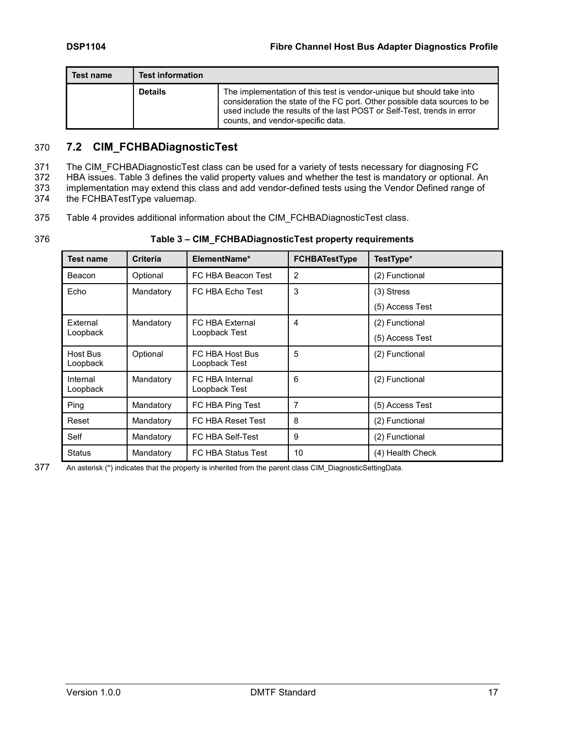| <b>Test name</b> | <b>Test information</b> |                                                                                                                                                                                                                                                                    |  |
|------------------|-------------------------|--------------------------------------------------------------------------------------------------------------------------------------------------------------------------------------------------------------------------------------------------------------------|--|
|                  | <b>Details</b>          | The implementation of this test is vendor-unique but should take into<br>consideration the state of the FC port. Other possible data sources to be<br>used include the results of the last POST or Self-Test, trends in error<br>counts, and vendor-specific data. |  |

#### <span id="page-16-0"></span>370 **7.2 CIM\_FCHBADiagnosticTest**

 The CIM\_FCHBADiagnosticTest class can be used for a variety of tests necessary for diagnosing FC HBA issues. [Table 3](#page-16-1) defines the valid property values and whether the test is mandatory or optional. An implementation may extend this class and add vendor-defined tests using the Vendor Defined range of the FCHBATestType valuemap.

375 [Table 4](#page-17-1) provides additional information about the CIM\_FCHBADiagnosticTest class.

376 **Table 3 – CIM\_FCHBADiagnosticTest property requirements**

<span id="page-16-1"></span>

| <b>Test name</b>     | <b>Criteria</b> | ElementName*                     | <b>FCHBATestType</b> | TestType*        |
|----------------------|-----------------|----------------------------------|----------------------|------------------|
| <b>Beacon</b>        | Optional        | FC HBA Beacon Test               | 2                    | (2) Functional   |
| Echo                 | Mandatory       | FC HBA Echo Test                 | 3                    | $(3)$ Stress     |
|                      |                 |                                  |                      | (5) Access Test  |
| External             | Mandatory       | <b>FC HBA External</b>           | 4                    | (2) Functional   |
| Loopback             |                 | Loopback Test                    |                      | (5) Access Test  |
| Host Bus<br>Loopback | Optional        | FC HBA Host Bus<br>Loopback Test | 5                    | (2) Functional   |
| Internal<br>Loopback | Mandatory       | FC HBA Internal<br>Loopback Test | 6                    | (2) Functional   |
| Ping                 | Mandatory       | FC HBA Ping Test                 | 7                    | (5) Access Test  |
| Reset                | Mandatory       | FC HBA Reset Test                | 8                    | (2) Functional   |
| Self                 | Mandatory       | FC HBA Self-Test                 | 9                    | (2) Functional   |
| <b>Status</b>        | Mandatory       | FC HBA Status Test               | 10                   | (4) Health Check |

377 An asterisk (\*) indicates that the property is inherited from the parent class CIM\_DiagnosticSettingData.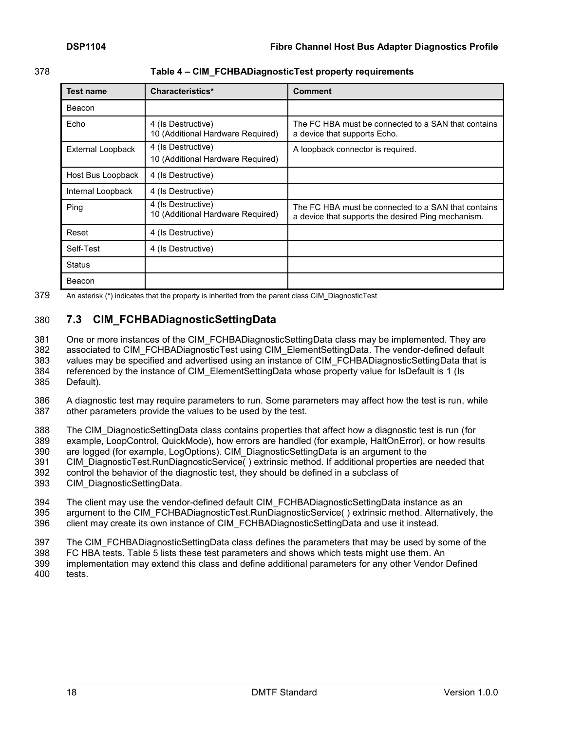#### 378 **Table 4 – CIM\_FCHBADiagnosticTest property requirements**

<span id="page-17-1"></span>

| <b>Test name</b>         | <b>Characteristics*</b>                                 | <b>Comment</b>                                                                                            |
|--------------------------|---------------------------------------------------------|-----------------------------------------------------------------------------------------------------------|
| Beacon                   |                                                         |                                                                                                           |
| Echo                     | 4 (Is Destructive)<br>10 (Additional Hardware Required) | The FC HBA must be connected to a SAN that contains<br>a device that supports Echo.                       |
| <b>External Loopback</b> | 4 (Is Destructive)<br>10 (Additional Hardware Required) | A loopback connector is required.                                                                         |
| Host Bus Loopback        | 4 (Is Destructive)                                      |                                                                                                           |
| Internal Loopback        | 4 (Is Destructive)                                      |                                                                                                           |
| Ping                     | 4 (Is Destructive)<br>10 (Additional Hardware Required) | The FC HBA must be connected to a SAN that contains<br>a device that supports the desired Ping mechanism. |
| Reset                    | 4 (Is Destructive)                                      |                                                                                                           |
| Self-Test                | 4 (Is Destructive)                                      |                                                                                                           |
| <b>Status</b>            |                                                         |                                                                                                           |
| Beacon                   |                                                         |                                                                                                           |

379 An asterisk (\*) indicates that the property is inherited from the parent class CIM\_DiagnosticTest

## <span id="page-17-0"></span>380 **7.3 CIM\_FCHBADiagnosticSettingData**

381 One or more instances of the CIM\_FCHBADiagnosticSettingData class may be implemented. They are 382 associated to CIM\_FCHBADiagnosticTest using CIM\_ElementSettingData. The vendor-defined default 383 values may be specified and advertised using an instance of CIM FCHBADiagnosticSettingData that is 384 referenced by the instance of CIM\_ElementSettingData whose property value for IsDefault is 1 (Is 385 Default).

386 A diagnostic test may require parameters to run. Some parameters may affect how the test is run, while 387 other parameters provide the values to be used by the test.

388 The CIM DiagnosticSettingData class contains properties that affect how a diagnostic test is run (for 389 example, LoopControl, QuickMode), how errors are handled (for example, HaltOnError), or how results 390 are logged (for example, LogOptions). CIM\_DiagnosticSettingData is an argument to the

391 CIM\_DiagnosticTest.RunDiagnosticService() extrinsic method. If additional properties are needed that

392 control the behavior of the diagnostic test, they should be defined in a subclass of

393 CIM\_DiagnosticSettingData.

394 The client may use the vendor-defined default CIM\_FCHBADiagnosticSettingData instance as an

395 argument to the CIM\_FCHBADiagnosticTest.RunDiagnosticService( ) extrinsic method. Alternatively, the 396 client may create its own instance of CIM\_FCHBADiagnosticSettingData and use it instead.

397 The CIM\_FCHBADiagnosticSettingData class defines the parameters that may be used by some of the

398 FC HBA tests. [Table 5](#page-18-0) lists these test parameters and shows which tests might use them. An

399 implementation may extend this class and define additional parameters for any other Vendor Defined 400 tests.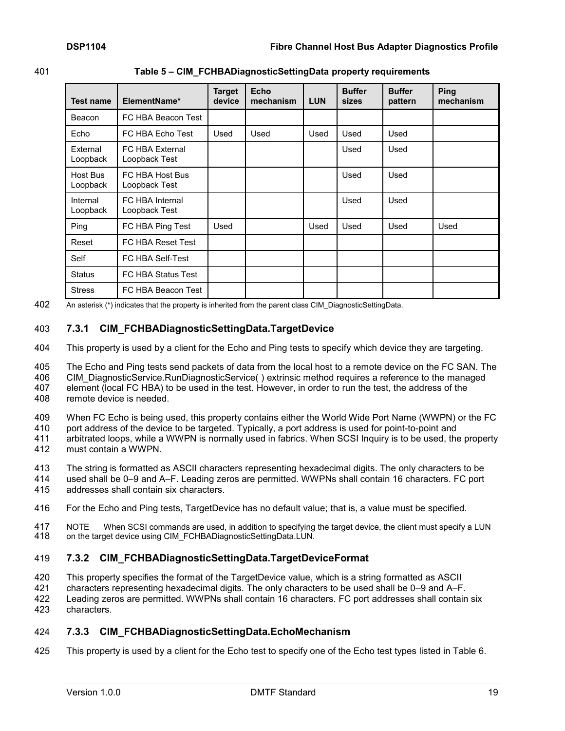401 **Table 5 – CIM\_FCHBADiagnosticSettingData property requirements**

<span id="page-18-0"></span>

| Test name            | ElementName*                     | <b>Target</b><br>device | <b>Echo</b><br>mechanism | <b>LUN</b> | <b>Buffer</b><br>sizes | <b>Buffer</b><br>pattern | Ping<br>mechanism |
|----------------------|----------------------------------|-------------------------|--------------------------|------------|------------------------|--------------------------|-------------------|
| Beacon               | FC HBA Beacon Test               |                         |                          |            |                        |                          |                   |
| Echo                 | FC HBA Echo Test                 | Used                    | Used                     | Used       | Used                   | Used                     |                   |
| External<br>Loopback | FC HBA External<br>Loopback Test |                         |                          |            | Used                   | Used                     |                   |
| Host Bus<br>Loopback | FC HBA Host Bus<br>Loopback Test |                         |                          |            | Used                   | Used                     |                   |
| Internal<br>Loopback | FC HBA Internal<br>Loopback Test |                         |                          |            | Used                   | Used                     |                   |
| Ping                 | FC HBA Ping Test                 | Used                    |                          | Used       | Used                   | Used                     | Used              |
| Reset                | FC HBA Reset Test                |                         |                          |            |                        |                          |                   |
| Self                 | FC HBA Self-Test                 |                         |                          |            |                        |                          |                   |
| Status               | FC HBA Status Test               |                         |                          |            |                        |                          |                   |
| <b>Stress</b>        | FC HBA Beacon Test               |                         |                          |            |                        |                          |                   |

402 An asterisk (\*) indicates that the property is inherited from the parent class CIM\_DiagnosticSettingData.

## <span id="page-18-1"></span>403 **7.3.1 CIM\_FCHBADiagnosticSettingData.TargetDevice**

- 404 This property is used by a client for the Echo and Ping tests to specify which device they are targeting.
- 405 The Echo and Ping tests send packets of data from the local host to a remote device on the FC SAN. The
- 406 CIM\_DiagnosticService.RunDiagnosticService( ) extrinsic method requires a reference to the managed
- 407 element (local FC HBA) to be used in the test. However, in order to run the test, the address of the 408 remote device is needed.
- 409 When FC Echo is being used, this property contains either the World Wide Port Name (WWPN) or the FC
- 410 port address of the device to be targeted. Typically, a port address is used for point-to-point and
- 411 arbitrated loops, while a WWPN is normally used in fabrics. When SCSI Inquiry is to be used, the property 412 must contain a WWPN.
- 413 The string is formatted as ASCII characters representing hexadecimal digits. The only characters to be
- 414 used shall be 0–9 and A–F. Leading zeros are permitted. WWPNs shall contain 16 characters. FC port 415 addresses shall contain six characters.
- 416 For the Echo and Ping tests, TargetDevice has no default value; that is, a value must be specified.
- 417 NOTE When SCSI commands are used, in addition to specifying the target device, the client must specify a LUN 418 on the target device using CIM\_FCHBADiagnosticSettingData.LUN.

#### <span id="page-18-2"></span>419 **7.3.2 CIM\_FCHBADiagnosticSettingData.TargetDeviceFormat**

- 420 This property specifies the format of the TargetDevice value, which is a string formatted as ASCII
- 421 characters representing hexadecimal digits. The only characters to be used shall be 0–9 and A–F.
- 422 Leading zeros are permitted. WWPNs shall contain 16 characters. FC port addresses shall contain six 423 characters.

#### <span id="page-18-3"></span>424 **7.3.3 CIM\_FCHBADiagnosticSettingData.EchoMechanism**

425 This property is used by a client for the Echo test to specify one of the Echo test types listed in [Table 6.](#page-19-0)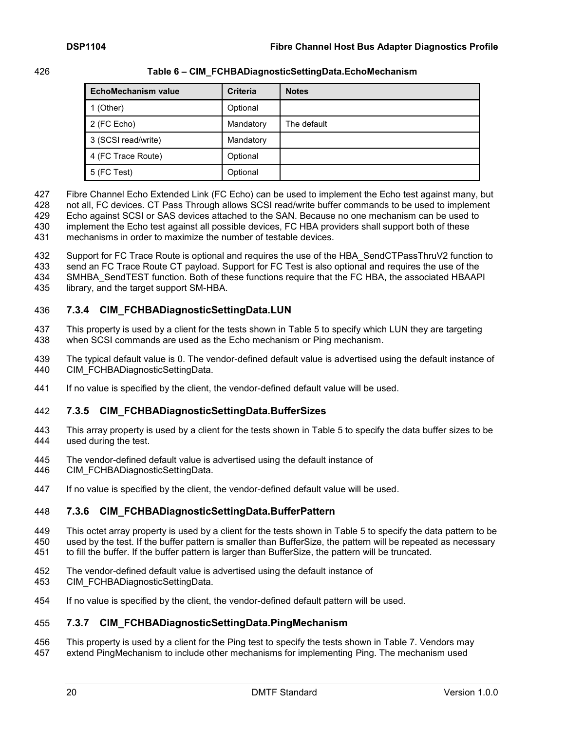#### **Table 6 – CIM\_FCHBADiagnosticSettingData.EchoMechanism**

<span id="page-19-0"></span>

| <b>EchoMechanism value</b> | <b>Criteria</b> | <b>Notes</b> |
|----------------------------|-----------------|--------------|
| 1 (Other)                  | Optional        |              |
| 2 (FC Echo)                | Mandatory       | The default  |
| 3 (SCSI read/write)        | Mandatory       |              |
| 4 (FC Trace Route)         | Optional        |              |
| 5 (FC Test)                | Optional        |              |

Fibre Channel Echo Extended Link (FC Echo) can be used to implement the Echo test against many, but

not all, FC devices. CT Pass Through allows SCSI read/write buffer commands to be used to implement

Echo against SCSI or SAS devices attached to the SAN. Because no one mechanism can be used to

- implement the Echo test against all possible devices, FC HBA providers shall support both of these mechanisms in order to maximize the number of testable devices.
- 
- Support for FC Trace Route is optional and requires the use of the HBA\_SendCTPassThruV2 function to
- send an FC Trace Route CT payload. Support for FC Test is also optional and requires the use of the

434 SMHBA SendTEST function. Both of these functions require that the FC HBA, the associated HBAAPI

<span id="page-19-1"></span>435 library, and the target support SM-HBA.

#### **7.3.4 CIM\_FCHBADiagnosticSettingData.LUN**

- This property is used by a client for the tests shown in [Table 5](#page-18-0) to specify which LUN they are targeting when SCSI commands are used as the Echo mechanism or Ping mechanism.
- The typical default value is 0. The vendor-defined default value is advertised using the default instance of 440 CIM FCHBADiagnosticSettingData.
- <span id="page-19-2"></span>If no value is specified by the client, the vendor-defined default value will be used.

#### **7.3.5 CIM\_FCHBADiagnosticSettingData.BufferSizes**

- This array property is used by a client for the tests shown in [Table 5](#page-18-0) to specify the data buffer sizes to be used during the test.
- The vendor-defined default value is advertised using the default instance of
- 446 CIM FCHBADiagnosticSettingData.
- <span id="page-19-3"></span>If no value is specified by the client, the vendor-defined default value will be used.

#### **7.3.6 CIM\_FCHBADiagnosticSettingData.BufferPattern**

- This octet array property is used by a client for the tests shown in [Table 5](#page-18-0) to specify the data pattern to be used by the test. If the buffer pattern is smaller than BufferSize, the pattern will be repeated as necessary
- to fill the buffer. If the buffer pattern is larger than BufferSize, the pattern will be truncated.
- The vendor-defined default value is advertised using the default instance of
- 453 CIM FCHBADiagnosticSettingData.
- <span id="page-19-4"></span>If no value is specified by the client, the vendor-defined default pattern will be used.

#### **7.3.7 CIM\_FCHBADiagnosticSettingData.PingMechanism**

 This property is used by a client for the Ping test to specify the tests shown in [Table 7.](#page-20-1) Vendors may extend PingMechanism to include other mechanisms for implementing Ping. The mechanism used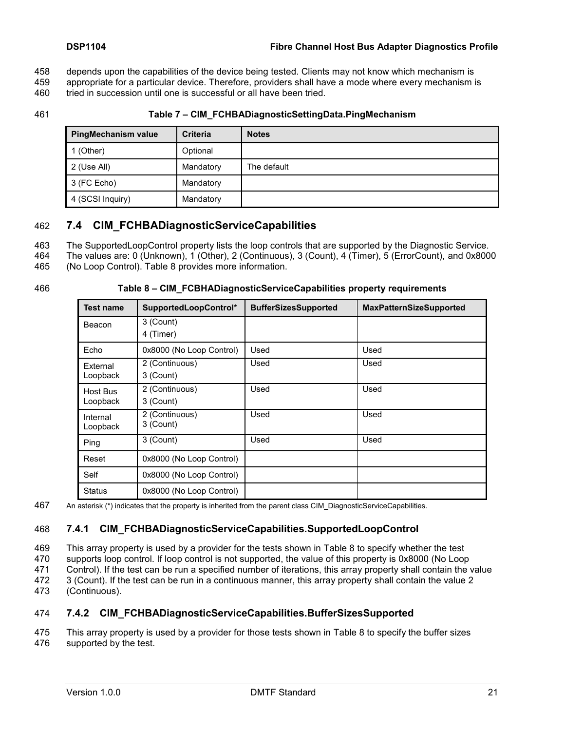458 depends upon the capabilities of the device being tested. Clients may not know which mechanism is

459 appropriate for a particular device. Therefore, providers shall have a mode where every mechanism is

460 tried in succession until one is successful or all have been tried.

#### 461 **Table 7 – CIM\_FCHBADiagnosticSettingData.PingMechanism**

<span id="page-20-1"></span>

| <b>PingMechanism value</b> | <b>Criteria</b> | <b>Notes</b> |
|----------------------------|-----------------|--------------|
| 1 (Other)                  | Optional        |              |
| $2$ (Use All)              | Mandatory       | The default  |
| 3 (FC Echo)                | Mandatory       |              |
| 4 (SCSI Inquiry)           | Mandatory       |              |

## <span id="page-20-0"></span>462 **7.4 CIM\_FCHBADiagnosticServiceCapabilities**

463 The SupportedLoopControl property lists the loop controls that are supported by the Diagnostic Service.

464 The values are: 0 (Unknown), 1 (Other), 2 (Continuous), 3 (Count), 4 (Timer), 5 (ErrorCount), and 0x8000 465 (No Loop Control). [Table 8](#page-20-2) provides more information.

<span id="page-20-2"></span>

|  | 466 | Table 8 - CIM_FCBHADiagnosticServiceCapabilities property requirements |
|--|-----|------------------------------------------------------------------------|
|--|-----|------------------------------------------------------------------------|

| Test name     | SupportedLoopControl*    | <b>BufferSizesSupported</b> | <b>MaxPatternSizeSupported</b> |
|---------------|--------------------------|-----------------------------|--------------------------------|
| Beacon        | 3 (Count)                |                             |                                |
|               | 4 (Timer)                |                             |                                |
| Echo          | 0x8000 (No Loop Control) | Used                        | Used                           |
| External      | 2 (Continuous)           | Used                        | Used                           |
| Loopback      | 3 (Count)                |                             |                                |
| Host Bus      | 2 (Continuous)           | Used                        | Used                           |
| Loopback      | 3 (Count)                |                             |                                |
| Internal      | 2 (Continuous)           | Used                        | Used                           |
| Loopback      | 3 (Count)                |                             |                                |
| Ping          | 3 (Count)                | Used                        | Used                           |
| Reset         | 0x8000 (No Loop Control) |                             |                                |
| Self          | 0x8000 (No Loop Control) |                             |                                |
| <b>Status</b> | 0x8000 (No Loop Control) |                             |                                |

467 An asterisk (\*) indicates that the property is inherited from the parent class CIM\_DiagnosticServiceCapabilities.

## <span id="page-20-3"></span>468 **7.4.1 CIM\_FCHBADiagnosticServiceCapabilities.SupportedLoopControl**

 This array property is used by a provider for the tests shown in [Table 8](#page-20-2) to specify whether the test supports loop control. If loop control is not supported, the value of this property is 0x8000 (No Loop Control). If the test can be run a specified number of iterations, this array property shall contain the value 3 (Count). If the test can be run in a continuous manner, this array property shall contain the value 2 (Continuous).

#### <span id="page-20-4"></span>474 **7.4.2 CIM\_FCHBADiagnosticServiceCapabilities.BufferSizesSupported**

475 This array property is used by a provider for those tests shown in [Table 8](#page-20-2) to specify the buffer sizes 476 supported by the test.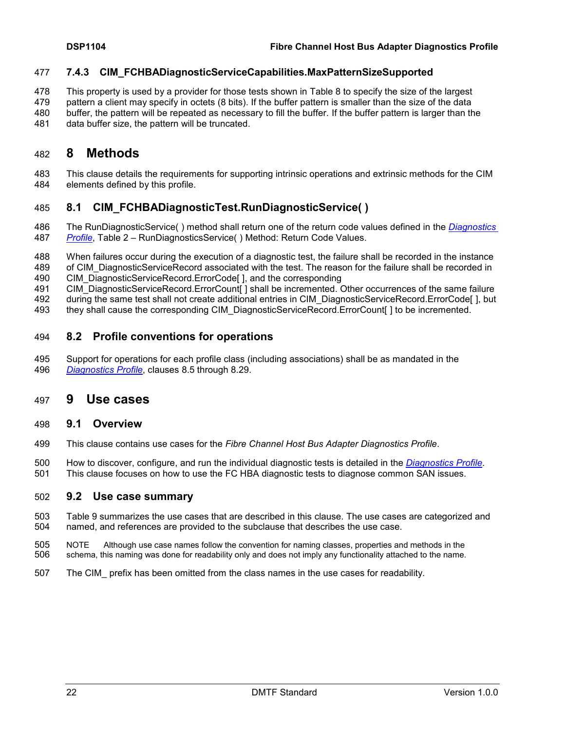#### **7.4.3 CIM\_FCHBADiagnosticServiceCapabilities.MaxPatternSizeSupported**

<span id="page-21-6"></span>This property is used by a provider for those tests shown in [Table 8](#page-20-2) to specify the size of the largest

pattern a client may specify in octets (8 bits). If the buffer pattern is smaller than the size of the data

buffer, the pattern will be repeated as necessary to fill the buffer. If the buffer pattern is larger than the

<span id="page-21-0"></span>data buffer size, the pattern will be truncated.

## **8 Methods**

 This clause details the requirements for supporting intrinsic operations and extrinsic methods for the CIM elements defined by this profile.

## <span id="page-21-1"></span>**8.1 CIM\_FCHBADiagnosticTest.RunDiagnosticService( )**

- The RunDiagnosticService( ) method shall return one of the return code values defined in the *[Diagnostics](#page-6-4)  [Profile](#page-6-4)*, Table 2 – RunDiagnosticsService( ) Method: Return Code Values.
- When failures occur during the execution of a diagnostic test, the failure shall be recorded in the instance
- of CIM\_DiagnosticServiceRecord associated with the test. The reason for the failure shall be recorded in

490 CIM DiagnosticServiceRecord.ErrorCode[ ], and the corresponding

491 CIM\_DiagnosticServiceRecord.ErrorCount[] shall be incremented. Other occurrences of the same failure

during the same test shall not create additional entries in CIM\_DiagnosticServiceRecord.ErrorCode[ ], but

<span id="page-21-2"></span>493 they shall cause the corresponding CIM\_DiagnosticServiceRecord.ErrorCount[] to be incremented.

#### **8.2 Profile conventions for operations**

 Support for operations for each profile class (including associations) shall be as mandated in the *[Diagnostics Profile](#page-6-4)*, clauses 8.5 through 8.29.

#### <span id="page-21-3"></span>**9 Use cases**

#### <span id="page-21-4"></span>**9.1 Overview**

- This clause contains use cases for the *Fibre Channel Host Bus Adapter Diagnostics Profile*.
- How to discover, configure, and run the individual diagnostic tests is detailed in the *[Diagnostics Profile](#page-6-4)*.
- <span id="page-21-5"></span>This clause focuses on how to use the FC HBA diagnostic tests to diagnose common SAN issues.

#### **9.2 Use case summary**

- [Table 9](#page-22-1) summarizes the use cases that are described in this clause. The use cases are categorized and named, and references are provided to the subclause that describes the use case.
- NOTE Although use case names follow the convention for naming classes, properties and methods in the schema, this naming was done for readability only and does not imply any functionality attached to the name.
- The CIM\_ prefix has been omitted from the class names in the use cases for readability.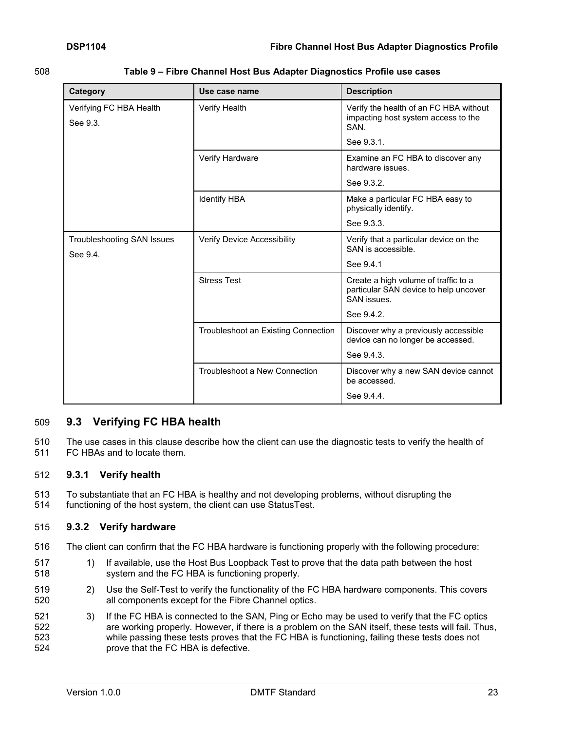508 **Table 9 – Fibre Channel Host Bus Adapter Diagnostics Profile use cases**

<span id="page-22-1"></span>

| Category                            | Use case name                       | <b>Description</b>                                                                                  |
|-------------------------------------|-------------------------------------|-----------------------------------------------------------------------------------------------------|
| Verifying FC HBA Health<br>See 9.3. | Verify Health                       | Verify the health of an FC HBA without<br>impacting host system access to the<br>SAN.               |
|                                     |                                     | See 9.3.1.                                                                                          |
|                                     | Verify Hardware                     | Examine an FC HBA to discover any<br>hardware issues.                                               |
|                                     |                                     | See 9.3.2.                                                                                          |
|                                     | <b>Identify HBA</b>                 | Make a particular FC HBA easy to<br>physically identify.                                            |
|                                     |                                     | See 9.3.3.                                                                                          |
| Troubleshooting SAN Issues          | Verify Device Accessibility         | Verify that a particular device on the<br>SAN is accessible.                                        |
| See 9.4.                            |                                     | See 9.4.1                                                                                           |
|                                     | <b>Stress Test</b>                  | Create a high volume of traffic to a<br>particular SAN device to help uncover<br><b>SAN</b> issues. |
|                                     |                                     | See 9.4.2.                                                                                          |
|                                     | Troubleshoot an Existing Connection | Discover why a previously accessible<br>device can no longer be accessed.                           |
|                                     |                                     | See 9.4.3.                                                                                          |
|                                     | Troubleshoot a New Connection       | Discover why a new SAN device cannot<br>be accessed.                                                |
|                                     |                                     | See 9.4.4.                                                                                          |

#### <span id="page-22-0"></span>509 **9.3 Verifying FC HBA health**

510 The use cases in this clause describe how the client can use the diagnostic tests to verify the health of 511 FC HBAs and to locate them.

#### <span id="page-22-2"></span>512 **9.3.1 Verify health**

513 To substantiate that an FC HBA is healthy and not developing problems, without disrupting the 514 functioning of the host system, the client can use StatusTest.

#### <span id="page-22-3"></span>515 **9.3.2 Verify hardware**

- 516 The client can confirm that the FC HBA hardware is functioning properly with the following procedure:
- 517 1) If available, use the Host Bus Loopback Test to prove that the data path between the host 518 system and the FC HBA is functioning properly.
- 519 2) Use the Self-Test to verify the functionality of the FC HBA hardware components. This covers 520 all components except for the Fibre Channel optics.
- 521 3) If the FC HBA is connected to the SAN, Ping or Echo may be used to verify that the FC optics 522 are working properly. However, if there is a problem on the SAN itself, these tests will fail. Thus, 523 while passing these tests proves that the FC HBA is functioning, failing these tests does not 524 prove that the FC HBA is defective.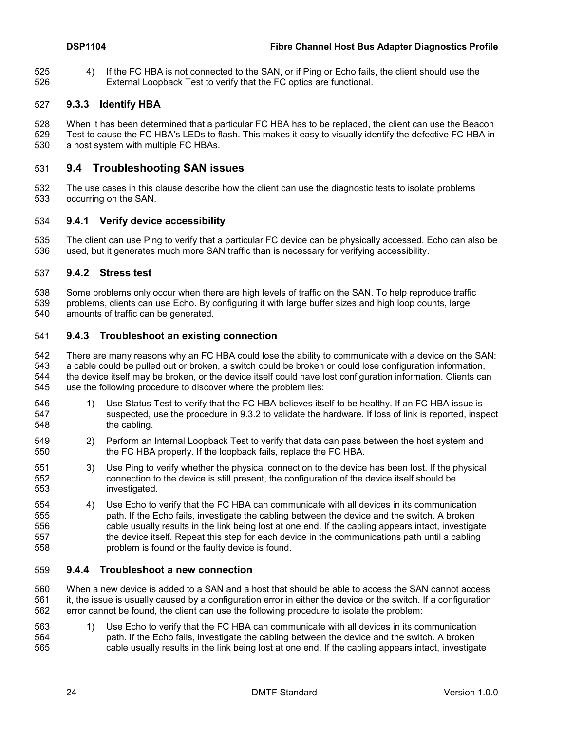4) If the FC HBA is not connected to the SAN, or if Ping or Echo fails, the client should use the External Loopback Test to verify that the FC optics are functional.

## <span id="page-23-1"></span>**9.3.3 Identify HBA**

 When it has been determined that a particular FC HBA has to be replaced, the client can use the Beacon Test to cause the FC HBA's LEDs to flash. This makes it easy to visually identify the defective FC HBA in a host system with multiple FC HBAs.

## <span id="page-23-0"></span>**9.4 Troubleshooting SAN issues**

 The use cases in this clause describe how the client can use the diagnostic tests to isolate problems occurring on the SAN.

## <span id="page-23-2"></span>**9.4.1 Verify device accessibility**

 The client can use Ping to verify that a particular FC device can be physically accessed. Echo can also be used, but it generates much more SAN traffic than is necessary for verifying accessibility.

#### <span id="page-23-3"></span>**9.4.2 Stress test**

 Some problems only occur when there are high levels of traffic on the SAN. To help reproduce traffic problems, clients can use Echo. By configuring it with large buffer sizes and high loop counts, large

<span id="page-23-4"></span>amounts of traffic can be generated.

#### **9.4.3 Troubleshoot an existing connection**

 There are many reasons why an FC HBA could lose the ability to communicate with a device on the SAN: a cable could be pulled out or broken, a switch could be broken or could lose configuration information, the device itself may be broken, or the device itself could have lost configuration information. Clients can use the following procedure to discover where the problem lies:

- 1) Use Status Test to verify that the FC HBA believes itself to be healthy. If an FC HBA issue is suspected, use the procedure in [9.3.2](#page-22-3) to validate the hardware. If loss of link is reported, inspect the cabling.
- 2) Perform an Internal Loopback Test to verify that data can pass between the host system and the FC HBA properly. If the loopback fails, replace the FC HBA.
- 3) Use Ping to verify whether the physical connection to the device has been lost. If the physical connection to the device is still present, the configuration of the device itself should be investigated.
- 4) Use Echo to verify that the FC HBA can communicate with all devices in its communication path. If the Echo fails, investigate the cabling between the device and the switch. A broken cable usually results in the link being lost at one end. If the cabling appears intact, investigate the device itself. Repeat this step for each device in the communications path until a cabling problem is found or the faulty device is found.

#### <span id="page-23-5"></span>**9.4.4 Troubleshoot a new connection**

 When a new device is added to a SAN and a host that should be able to access the SAN cannot access it, the issue is usually caused by a configuration error in either the device or the switch. If a configuration error cannot be found, the client can use the following procedure to isolate the problem:

 1) Use Echo to verify that the FC HBA can communicate with all devices in its communication path. If the Echo fails, investigate the cabling between the device and the switch. A broken cable usually results in the link being lost at one end. If the cabling appears intact, investigate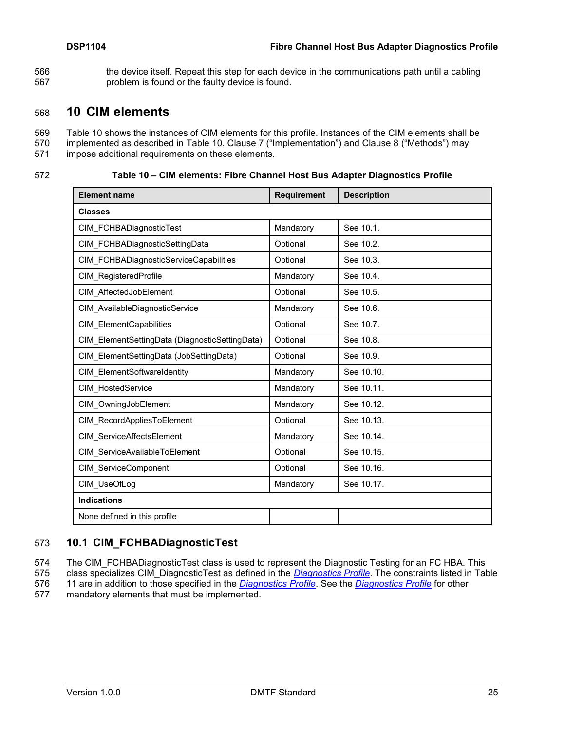566 the device itself. Repeat this step for each device in the communications path until a cabling 567 problem is found or the faulty device is found.

## <span id="page-24-0"></span>568 **10 CIM elements**

- 569 [Table 10](#page-24-2) shows the instances of CIM elements for this profile. Instances of the CIM elements shall be
- 570 implemented as described in [Table 10.](#page-24-2) Clause [7](#page-13-0) ("Implementation") and Clause [8](#page-21-0) ("Methods") may 571 impose additional requirements on these elements.

572 **Table 10 – CIM elements: Fibre Channel Host Bus Adapter Diagnostics Profile**

<span id="page-24-2"></span>

| <b>Element name</b>                            | <b>Requirement</b> | <b>Description</b> |
|------------------------------------------------|--------------------|--------------------|
| <b>Classes</b>                                 |                    |                    |
| CIM_FCHBADiagnosticTest                        | Mandatory          | See 10.1.          |
| CIM_FCHBADiagnosticSettingData                 | Optional           | See 10.2.          |
| CIM FCHBADiagnosticServiceCapabilities         | Optional           | See 10.3.          |
| CIM RegisteredProfile                          | Mandatory          | See 10.4.          |
| CIM AffectedJobElement                         | Optional           | See 10.5.          |
| CIM AvailableDiagnosticService                 | Mandatory          | See 10.6.          |
| CIM ElementCapabilities                        | Optional           | See 10.7.          |
| CIM_ElementSettingData (DiagnosticSettingData) | Optional           | See 10.8.          |
| CIM ElementSettingData (JobSettingData)        | Optional           | See 10.9.          |
| CIM ElementSoftwareIdentity                    | Mandatory          | See 10.10.         |
| CIM HostedService                              | Mandatory          | See 10.11.         |
| CIM OwningJobElement                           | Mandatory          | See 10.12.         |
| CIM RecordAppliesToElement                     | Optional           | See 10.13.         |
| CIM ServiceAffectsElement                      | Mandatory          | See 10.14.         |
| CIM ServiceAvailableToElement                  | Optional           | See 10.15.         |
| CIM ServiceComponent                           | Optional           | See 10.16.         |
| CIM UseOfLog                                   | Mandatory          | See 10.17.         |
| <b>Indications</b>                             |                    |                    |
| None defined in this profile                   |                    |                    |

## <span id="page-24-1"></span>573 **10.1 CIM\_FCHBADiagnosticTest**

574 The CIM FCHBADiagnosticTest class is used to represent the Diagnostic Testing for an FC HBA. This

575 class specializes CIM\_DiagnosticTest as defined in the *[Diagnostics Profile](#page-6-4)*. The constraints listed in Table<br>576 11 are in addition to those specified in the *Diagnostics Profile*. See the *Diagnostics Profile* for ot

576 [11](#page-25-2) are in addition to those specified in the *[Diagnostics Profile](#page-6-4)*. See the *[Diagnostics Profile](#page-6-4)* for other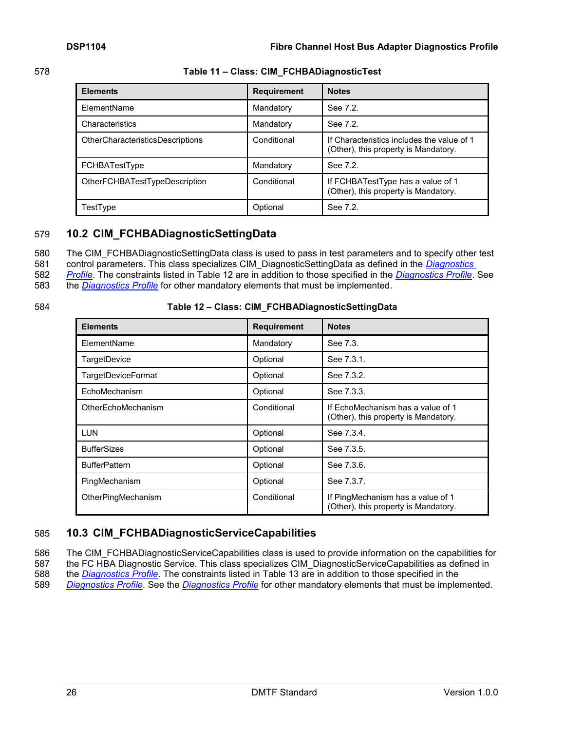#### 578 **Table 11 – Class: CIM\_FCHBADiagnosticTest**

<span id="page-25-2"></span>

| <b>Elements</b>                  | <b>Requirement</b> | <b>Notes</b>                                                                       |
|----------------------------------|--------------------|------------------------------------------------------------------------------------|
| ElementName                      | Mandatory          | See 7.2.                                                                           |
| Characteristics                  | Mandatory          | See 7.2.                                                                           |
| OtherCharacteristicsDescriptions | Conditional        | If Characteristics includes the value of 1<br>(Other), this property is Mandatory. |
| FCHBATestType                    | Mandatory          | See 7.2.                                                                           |
| OtherFCHBATestTypeDescription    | Conditional        | If FCHBATestType has a value of 1<br>(Other), this property is Mandatory.          |
| TestType                         | Optional           | See 7.2.                                                                           |

## <span id="page-25-0"></span>579 **10.2 CIM\_FCHBADiagnosticSettingData**

580 The CIM\_FCHBADiagnosticSettingData class is used to pass in test parameters and to specify other test

581 control parameters. This class specializes CIM\_DiagnosticSettingData as defined in the *[Diagnostics](#page-6-4)* 

582 *[Profile](#page-6-4)*. The constraints listed in [Table 12](#page-25-3) are in addition to those specified in the *[Diagnostics Profile](#page-6-4)*. See 583 the *[Diagnostics Profile](#page-6-4)* for other mandatory elements that must be implemented.

#### 584 **Table 12 – Class: CIM\_FCHBADiagnosticSettingData**

<span id="page-25-3"></span>

| <b>Elements</b>      | <b>Requirement</b> | <b>Notes</b>                                                              |
|----------------------|--------------------|---------------------------------------------------------------------------|
| ElementName          | Mandatory          | See 7.3.                                                                  |
| TargetDevice         | Optional           | See 7.3.1.                                                                |
| TargetDeviceFormat   | Optional           | See 7.3.2.                                                                |
| EchoMechanism        | Optional           | See 7.3.3.                                                                |
| OtherEchoMechanism   | Conditional        | If EchoMechanism has a value of 1<br>(Other), this property is Mandatory. |
| <b>LUN</b>           | Optional           | See 7.3.4.                                                                |
| <b>BufferSizes</b>   | Optional           | See 7.3.5.                                                                |
| <b>BufferPattern</b> | Optional           | See 7.3.6.                                                                |
| PingMechanism        | Optional           | See 7.3.7.                                                                |
| OtherPingMechanism   | Conditional        | If PingMechanism has a value of 1<br>(Other), this property is Mandatory. |

## <span id="page-25-1"></span>585 **10.3 CIM\_FCHBADiagnosticServiceCapabilities**

586 The CIM\_FCHBADiagnosticServiceCapabilities class is used to provide information on the capabilities for 587 the FC HBA Diagnostic Service. This class specializes CIM\_DiagnosticServiceCapabilities as defined in 588 the Diagnostics Profile. The constraints listed in Table 13 are in addition to those specified in the the *[Diagnostics Profile](#page-6-4)*. The constraints listed in [Table 13](#page-26-3) are in addition to those specified in the 589 *[Diagnostics Profile](#page-6-4)*. See the *[Diagnostics Profile](#page-6-4)* for other mandatory elements that must be implemented.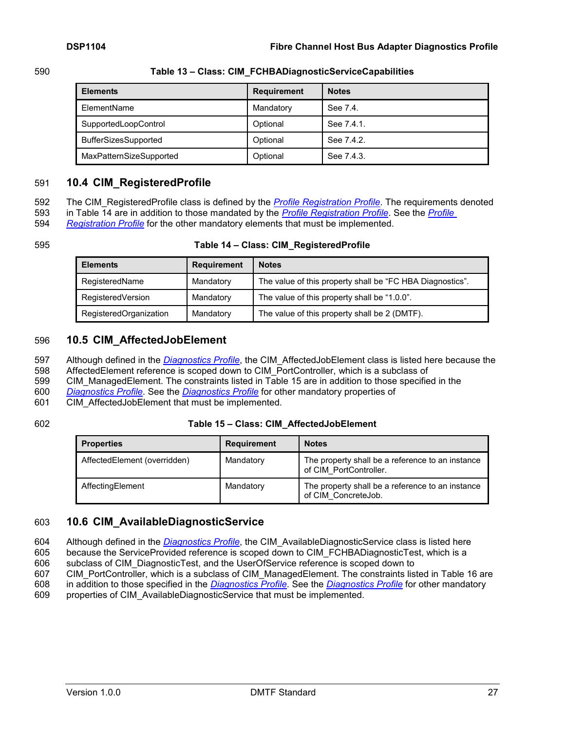| 590 | Table 13 - Class: CIM_FCHBADiagnosticServiceCapabilities |  |
|-----|----------------------------------------------------------|--|
|     |                                                          |  |

<span id="page-26-3"></span>

| <b>Elements</b>             | <b>Requirement</b> | <b>Notes</b> |
|-----------------------------|--------------------|--------------|
| ElementName                 | Mandatory          | See 7.4.     |
| SupportedLoopControl        | Optional           | See 7.4.1.   |
| <b>BufferSizesSupported</b> | Optional           | See 7.4.2    |
| MaxPatternSizeSupported     | Optional           | See 7.4.3.   |

## <span id="page-26-0"></span>591 **10.4 CIM\_RegisteredProfile**

592 The CIM\_RegisteredProfile class is defined by the *[Profile Registration Profile](#page-6-10)*. The requirements denoted

593 in [Table 14](#page-26-4) are in addition to those mandated by the *[Profile Registration Profile](#page-6-10)*. See the *[Profile](#page-6-10)* 

594 *[Registration Profile](#page-6-10)* for the other mandatory elements that must be implemented.

#### 595 **Table 14 – Class: CIM\_RegisteredProfile**

<span id="page-26-4"></span>

| <b>Elements</b>        | <b>Requirement</b> | <b>Notes</b>                                              |
|------------------------|--------------------|-----------------------------------------------------------|
| RegisteredName         | Mandatory          | The value of this property shall be "FC HBA Diagnostics". |
| RegisteredVersion      | Mandatory          | The value of this property shall be "1.0.0".              |
| RegisteredOrganization | Mandatory          | The value of this property shall be 2 (DMTF).             |

## <span id="page-26-1"></span>596 **10.5 CIM\_AffectedJobElement**

- 597 Although defined in the *[Diagnostics Profile](#page-6-4)*, the CIM\_AffectedJobElement class is listed here because the
- 598 AffectedElement reference is scoped down to CIM\_PortController, which is a subclass of
- 599 CIM ManagedElement. The constraints listed in [Table 15](#page-26-5) are in addition to those specified in the
- 600 *[Diagnostics Profile](#page-6-4)*. See the *[Diagnostics Profile](#page-6-4)* for other mandatory properties of
- 601 CIM\_AffectedJobElement that must be implemented.

#### 602 **Table 15 – Class: CIM\_AffectedJobElement**

<span id="page-26-5"></span>

| <b>Properties</b>            | <b>Requirement</b> | <b>Notes</b>                                                               |
|------------------------------|--------------------|----------------------------------------------------------------------------|
| AffectedElement (overridden) | Mandatory          | The property shall be a reference to an instance<br>of CIM PortController. |
| AffectingElement             | Mandatory          | The property shall be a reference to an instance<br>of CIM ConcreteJob.    |

## <span id="page-26-2"></span>603 **10.6 CIM\_AvailableDiagnosticService**

604 Although defined in the *[Diagnostics Profile](#page-6-4)*, the CIM\_AvailableDiagnosticService class is listed here

- 605 because the ServiceProvided reference is scoped down to CIM\_FCHBADiagnosticTest, which is a
- 606 subclass of CIM\_DiagnosticTest, and the UserOfService reference is scoped down to
- 607 CIM\_PortController, which is a subclass of CIM\_ManagedElement. The constraints listed in [Table 16](#page-27-3) are
- 608 in addition to those specified in the *[Diagnostics Profile](#page-6-4)*. See the *[Diagnostics Profile](#page-6-4)* for other mandatory
- 609 properties of CIM\_AvailableDiagnosticService that must be implemented.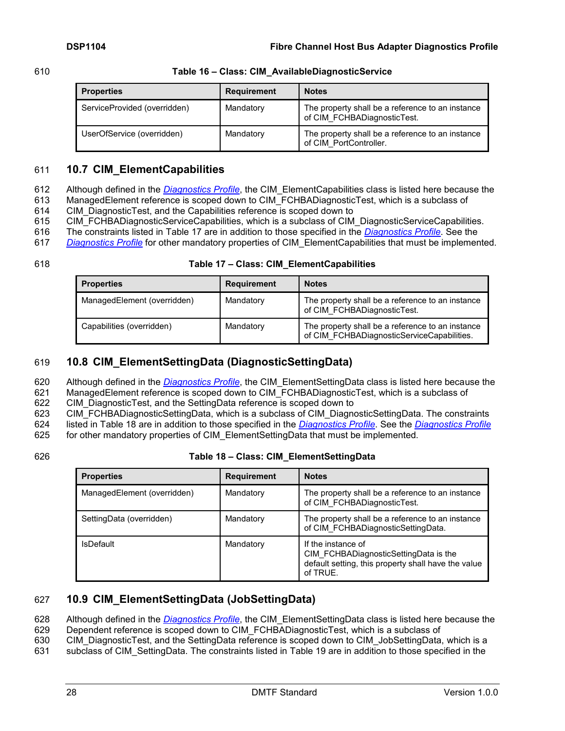| 610 | Table 16 - Class: CIM_AvailableDiagnosticService |
|-----|--------------------------------------------------|
|-----|--------------------------------------------------|

<span id="page-27-3"></span>

| <b>Properties</b>            | <b>Requirement</b> | <b>Notes</b>                                                                    |
|------------------------------|--------------------|---------------------------------------------------------------------------------|
| ServiceProvided (overridden) | Mandatory          | The property shall be a reference to an instance<br>of CIM FCHBADiagnosticTest. |
| UserOfService (overridden)   | Mandatory          | The property shall be a reference to an instance<br>of CIM PortController.      |

## <span id="page-27-0"></span>611 **10.7 CIM\_ElementCapabilities**

612 Although defined in the *[Diagnostics Profile](#page-6-4)*, the CIM\_ElementCapabilities class is listed here because the

613 ManagedElement reference is scoped down to CIM\_FCHBADiagnosticTest, which is a subclass of 614 CIM\_DiagnosticTest, and the Capabilities reference is scoped down to

615 CIM FCHBADiagnosticServiceCapabilities, which is a subclass of CIM DiagnosticServiceCapabilities.

616 The constraints listed in [Table 17](#page-27-4) are in addition to those specified in the *[Diagnostics Profile](#page-6-4)*. See the

617 *[Diagnostics Profile](#page-6-4)* for other mandatory properties of CIM\_ElementCapabilities that must be implemented.

618 **Table 17 – Class: CIM\_ElementCapabilities**

<span id="page-27-4"></span>

| <b>Properties</b>           | <b>Requirement</b> | <b>Notes</b>                                                                                   |
|-----------------------------|--------------------|------------------------------------------------------------------------------------------------|
| ManagedElement (overridden) | Mandatory          | The property shall be a reference to an instance<br>of CIM FCHBADiagnosticTest.                |
| Capabilities (overridden)   | Mandatory          | The property shall be a reference to an instance<br>of CIM FCHBADiagnosticServiceCapabilities. |

## <span id="page-27-1"></span>619 **10.8 CIM\_ElementSettingData (DiagnosticSettingData)**

620 Although defined in the *[Diagnostics Profile](#page-6-4)*, the CIM\_ElementSettingData class is listed here because the

621 ManagedElement reference is scoped down to CIM\_FCHBADiagnosticTest, which is a subclass of

622 CIM\_DiagnosticTest, and the SettingData reference is scoped down to

623 CIM\_FCHBADiagnosticSettingData, which is a subclass of CIM\_DiagnosticSettingData. The constraints

624 listed in [Table 18](#page-27-5) are in addition to those specified in the *[Diagnostics Profile](#page-6-4)*. See the *[Diagnostics Profile](#page-6-4)*

625 for other mandatory properties of CIM\_ElementSettingData that must be implemented.

#### 626 **Table 18 – Class: CIM\_ElementSettingData**

<span id="page-27-5"></span>

| <b>Properties</b>           | <b>Requirement</b> | <b>Notes</b>                                                                                                                   |
|-----------------------------|--------------------|--------------------------------------------------------------------------------------------------------------------------------|
| ManagedElement (overridden) | Mandatory          | The property shall be a reference to an instance<br>of CIM FCHBADiagnosticTest.                                                |
| SettingData (overridden)    | Mandatory          | The property shall be a reference to an instance<br>of CIM FCHBADiagnosticSettingData.                                         |
| <b>IsDefault</b>            | Mandatory          | If the instance of<br>CIM FCHBADiagnosticSettingData is the<br>default setting, this property shall have the value<br>of TRUE. |

## <span id="page-27-2"></span>627 **10.9 CIM\_ElementSettingData (JobSettingData)**

628 Although defined in the *[Diagnostics Profile](#page-6-4)*, the CIM\_ElementSettingData class is listed here because the

629 Dependent reference is scoped down to CIM\_FCHBADiagnosticTest, which is a subclass of

630 CIM DiagnosticTest, and the SettingData reference is scoped down to CIM JobSettingData, which is a

631 subclass of CIM\_SettingData. The constraints listed in [Table 19](#page-28-3) are in addition to those specified in the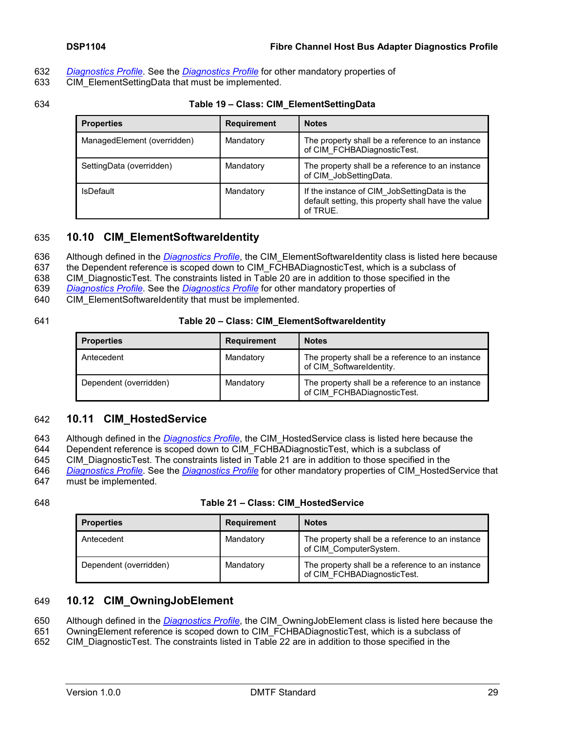- 632 *[Diagnostics Profile](#page-6-4)*. See the *[Diagnostics Profile](#page-6-4)* for other mandatory properties of
- 633 CIM\_ElementSettingData that must be implemented.
- 

#### 634 **Table 19 – Class: CIM\_ElementSettingData**

<span id="page-28-3"></span>

| <b>Properties</b>           | <b>Requirement</b> | <b>Notes</b>                                                                                                    |
|-----------------------------|--------------------|-----------------------------------------------------------------------------------------------------------------|
| ManagedElement (overridden) | Mandatory          | The property shall be a reference to an instance<br>of CIM FCHBADiagnosticTest.                                 |
| SettingData (overridden)    | Mandatory          | The property shall be a reference to an instance<br>of CIM JobSettingData.                                      |
| <b>IsDefault</b>            | Mandatory          | If the instance of CIM JobSettingData is the<br>default setting, this property shall have the value<br>of TRUE. |

#### <span id="page-28-0"></span>635 **10.10 CIM\_ElementSoftwareIdentity**

- 636 Although defined in the *[Diagnostics Profile](#page-6-4)*, the CIM\_ElementSoftwareIdentity class is listed here because
- 637 the Dependent reference is scoped down to CIM\_FCHBADiagnosticTest, which is a subclass of
- 638 CIM\_DiagnosticTest. The constraints listed in [Table 20](#page-28-4) are in addition to those specified in the
- 639 *[Diagnostics Profile](#page-6-4)*. See the *[Diagnostics Profile](#page-6-4)* for other mandatory properties of
- 640 CIM ElementSoftwareIdentity that must be implemented.
- 

#### 641 **Table 20 – Class: CIM\_ElementSoftwareIdentity**

<span id="page-28-4"></span>

| <b>Properties</b>      | <b>Requirement</b> | <b>Notes</b>                                                                    |
|------------------------|--------------------|---------------------------------------------------------------------------------|
| Antecedent             | Mandatory          | The property shall be a reference to an instance<br>of CIM SoftwareIdentity.    |
| Dependent (overridden) | Mandatory          | The property shall be a reference to an instance<br>of CIM FCHBADiagnosticTest. |

#### <span id="page-28-1"></span>642 **10.11 CIM\_HostedService**

- 643 Although defined in the *[Diagnostics Profile](#page-6-4)*, the CIM\_HostedService class is listed here because the
- 644 Dependent reference is scoped down to CIM\_FCHBADiagnosticTest, which is a subclass of
- 645 CIM\_DiagnosticTest. The constraints listed in [Table 21](#page-28-5) are in addition to those specified in the
- 646 *[Diagnostics Profile](#page-6-4)*. See the *[Diagnostics Profile](#page-6-4)* for other mandatory properties of CIM\_HostedService that 647 must be implemented.
- 

| 648 | Table 21 – Class: CIM HostedService |  |
|-----|-------------------------------------|--|
|     |                                     |  |

<span id="page-28-5"></span>

| <b>Properties</b>      | <b>Requirement</b> | <b>Notes</b>                                                                    |
|------------------------|--------------------|---------------------------------------------------------------------------------|
| Antecedent             | Mandatory          | The property shall be a reference to an instance<br>of CIM ComputerSystem.      |
| Dependent (overridden) | Mandatory          | The property shall be a reference to an instance<br>of CIM FCHBADiagnosticTest. |

#### <span id="page-28-2"></span>649 **10.12 CIM\_OwningJobElement**

650 Although defined in the *[Diagnostics Profile](#page-6-4)*, the CIM\_OwningJobElement class is listed here because the

- 651 OwningElement reference is scoped down to CIM\_FCHBADiagnosticTest, which is a subclass of
- 652 CIM\_DiagnosticTest. The constraints listed in [Table 22](#page-29-3) are in addition to those specified in the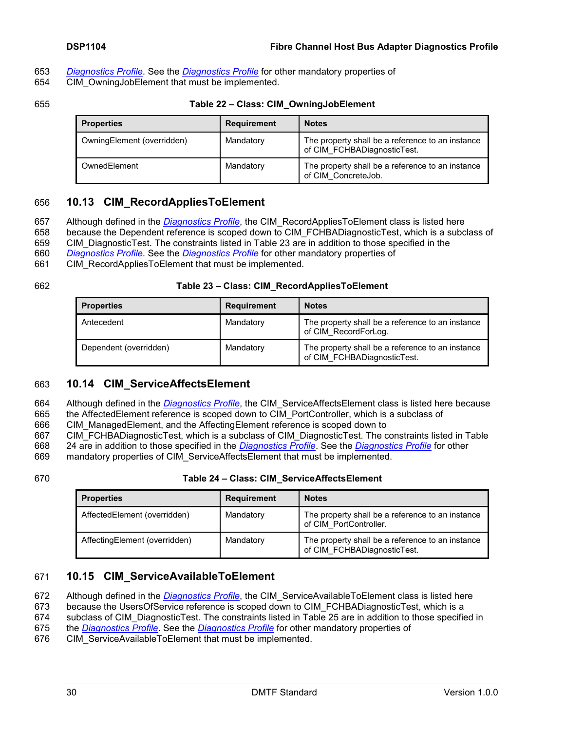- 653 *[Diagnostics Profile](#page-6-4)*. See the *[Diagnostics Profile](#page-6-4)* for other mandatory properties of
- 654 CIM\_OwningJobElement that must be implemented.

#### 655 **Table 22 – Class: CIM\_OwningJobElement**

<span id="page-29-3"></span>

| <b>Properties</b>          | <b>Requirement</b> | <b>Notes</b>                                                                    |
|----------------------------|--------------------|---------------------------------------------------------------------------------|
| OwningElement (overridden) | Mandatory          | The property shall be a reference to an instance<br>of CIM FCHBADiagnosticTest. |
| OwnedElement               | Mandatory          | The property shall be a reference to an instance<br>of CIM ConcreteJob.         |

## <span id="page-29-0"></span>656 **10.13 CIM\_RecordAppliesToElement**

- 657 Although defined in the *[Diagnostics Profile](#page-6-4)*, the CIM\_RecordAppliesToElement class is listed here
- 658 because the Dependent reference is scoped down to CIM\_FCHBADiagnosticTest, which is a subclass of
- 659 CIM\_DiagnosticTest. The constraints listed in [Table 23](#page-29-4) are in addition to those specified in the
- 660 *[Diagnostics Profile](#page-6-4)*. See the *[Diagnostics Profile](#page-6-4)* for other mandatory properties of
- 661 CIM\_RecordAppliesToElement that must be implemented.

#### 662 **Table 23 – Class: CIM\_RecordAppliesToElement**

<span id="page-29-4"></span>

| <b>Properties</b>      | <b>Requirement</b> | <b>Notes</b>                                                                    |
|------------------------|--------------------|---------------------------------------------------------------------------------|
| Antecedent             | Mandatory          | The property shall be a reference to an instance<br>of CIM RecordForLog.        |
| Dependent (overridden) | Mandatory          | The property shall be a reference to an instance<br>of CIM FCHBADiagnosticTest. |

#### <span id="page-29-1"></span>663 **10.14 CIM\_ServiceAffectsElement**

664 Although defined in the *[Diagnostics Profile](#page-6-4)*, the CIM\_ServiceAffectsElement class is listed here because 665 the AffectedElement reference is scoped down to CIM\_PortController, which is a subclass of

666 CIM\_ManagedElement, and the AffectingElement reference is scoped down to

667 CIM\_FCHBADiagnosticTest, which is a subclass of CIM\_DiagnosticTest. The constraints listed in [Table](#page-29-5) 

668 [24](#page-29-5) are in addition to those specified in the *[Diagnostics Profile](#page-6-4)*. See the *[Diagnostics Profile](#page-6-4)* for other

669 mandatory properties of CIM\_ServiceAffectsElement that must be implemented.

#### 670 **Table 24 – Class: CIM\_ServiceAffectsElement**

<span id="page-29-5"></span>

| <b>Properties</b>             | <b>Requirement</b> | <b>Notes</b>                                                                    |
|-------------------------------|--------------------|---------------------------------------------------------------------------------|
| AffectedElement (overridden)  | Mandatory          | The property shall be a reference to an instance<br>of CIM PortController.      |
| AffectingElement (overridden) | Mandatory          | The property shall be a reference to an instance<br>of CIM FCHBADiagnosticTest. |

#### <span id="page-29-2"></span>671 **10.15 CIM\_ServiceAvailableToElement**

672 Although defined in the *[Diagnostics Profile](#page-6-4)*, the CIM\_ServiceAvailableToElement class is listed here

673 because the UsersOfService reference is scoped down to CIM\_FCHBADiagnosticTest, which is a

674 subclass of CIM\_DiagnosticTest. The constraints listed in [Table 25](#page-30-2) are in addition to those specified in

675 the *[Diagnostics Profile](#page-6-4)*. See the *[Diagnostics Profile](#page-6-4)* for other mandatory properties of

676 CIM ServiceAvailableToElement that must be implemented.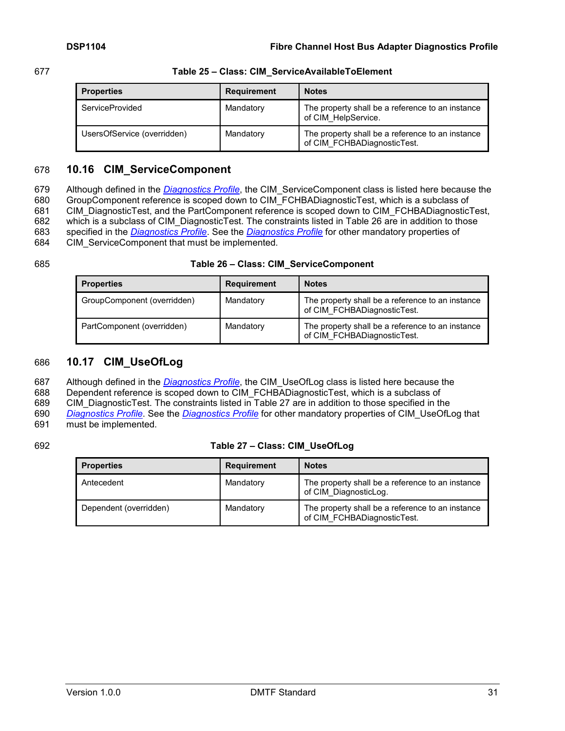#### 677 **Table 25 – Class: CIM\_ServiceAvailableToElement**

<span id="page-30-2"></span>

| <b>Properties</b>           | <b>Requirement</b> | <b>Notes</b>                                                                    |
|-----------------------------|--------------------|---------------------------------------------------------------------------------|
| ServiceProvided             | Mandatory          | The property shall be a reference to an instance<br>of CIM HelpService.         |
| UsersOfService (overridden) | Mandatory          | The property shall be a reference to an instance<br>of CIM FCHBADiagnosticTest. |

#### <span id="page-30-0"></span>678 **10.16 CIM\_ServiceComponent**

 Although defined in the *[Diagnostics Profile](#page-6-4)*, the CIM\_ServiceComponent class is listed here because the 680 GroupComponent reference is scoped down to CIM\_FCHBADiagnosticTest, which is a subclass of CIM\_DiagnosticTest, and the PartComponent reference is scoped down to CIM\_FCHBADiagnosticTest, which is a subclass of CIM\_DiagnosticTest. The constraints listed in [Table 26](#page-30-3) are in addition to those specified in the *[Diagnostics Profile](#page-6-4)*. See the *[Diagnostics Profile](#page-6-4)* for other mandatory properties of CIM\_ServiceComponent that must be implemented.

#### 685 **Table 26 – Class: CIM\_ServiceComponent**

<span id="page-30-3"></span>

| <b>Properties</b>           | <b>Requirement</b> | <b>Notes</b>                                                                    |
|-----------------------------|--------------------|---------------------------------------------------------------------------------|
| GroupComponent (overridden) | Mandatory          | The property shall be a reference to an instance<br>of CIM FCHBADiagnosticTest. |
| PartComponent (overridden)  | Mandatory          | The property shall be a reference to an instance<br>of CIM FCHBADiagnosticTest. |

## <span id="page-30-1"></span>686 **10.17 CIM\_UseOfLog**

687 Although defined in the *[Diagnostics Profile](#page-6-4)*, the CIM\_UseOfLog class is listed here because the

688 Dependent reference is scoped down to CIM\_FCHBADiagnosticTest, which is a subclass of

689 CIM\_DiagnosticTest. The constraints listed in [Table 27](#page-30-4) are in addition to those specified in the

690 *[Diagnostics Profile](#page-6-4)*. See the *[Diagnostics Profile](#page-6-4)* for other mandatory properties of CIM\_UseOfLog that

691 must be implemented.

#### 692 **Table 27 – Class: CIM\_UseOfLog**

<span id="page-30-4"></span>

| <b>Properties</b>      | <b>Requirement</b> | <b>Notes</b>                                                                    |
|------------------------|--------------------|---------------------------------------------------------------------------------|
| Antecedent             | Mandatory          | The property shall be a reference to an instance<br>of CIM DiagnosticLog.       |
| Dependent (overridden) | Mandatory          | The property shall be a reference to an instance<br>of CIM FCHBADiagnosticTest. |